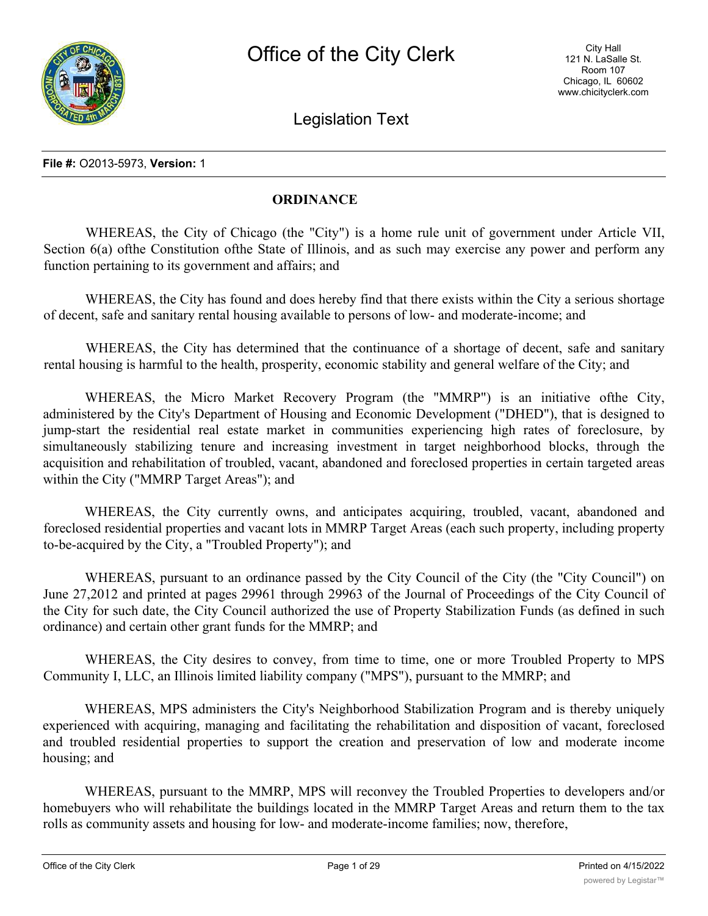

Legislation Text

### **File #:** O2013-5973, **Version:** 1

# **ORDINANCE**

WHEREAS, the City of Chicago (the "City") is a home rule unit of government under Article VII, Section 6(a) of the Constitution of the State of Illinois, and as such may exercise any power and perform any function pertaining to its government and affairs; and

WHEREAS, the City has found and does hereby find that there exists within the City a serious shortage of decent, safe and sanitary rental housing available to persons of low- and moderate-income; and

WHEREAS, the City has determined that the continuance of a shortage of decent, safe and sanitary rental housing is harmful to the health, prosperity, economic stability and general welfare of the City; and

WHEREAS, the Micro Market Recovery Program (the "MMRP") is an initiative ofthe City, administered by the City's Department of Housing and Economic Development ("DHED"), that is designed to jump-start the residential real estate market in communities experiencing high rates of foreclosure, by simultaneously stabilizing tenure and increasing investment in target neighborhood blocks, through the acquisition and rehabilitation of troubled, vacant, abandoned and foreclosed properties in certain targeted areas within the City ("MMRP Target Areas"); and

WHEREAS, the City currently owns, and anticipates acquiring, troubled, vacant, abandoned and foreclosed residential properties and vacant lots in MMRP Target Areas (each such property, including property to-be-acquired by the City, a "Troubled Property"); and

WHEREAS, pursuant to an ordinance passed by the City Council of the City (the "City Council") on June 27,2012 and printed at pages 29961 through 29963 of the Journal of Proceedings of the City Council of the City for such date, the City Council authorized the use of Property Stabilization Funds (as defined in such ordinance) and certain other grant funds for the MMRP; and

WHEREAS, the City desires to convey, from time to time, one or more Troubled Property to MPS Community I, LLC, an Illinois limited liability company ("MPS"), pursuant to the MMRP; and

WHEREAS, MPS administers the City's Neighborhood Stabilization Program and is thereby uniquely experienced with acquiring, managing and facilitating the rehabilitation and disposition of vacant, foreclosed and troubled residential properties to support the creation and preservation of low and moderate income housing; and

WHEREAS, pursuant to the MMRP, MPS will reconvey the Troubled Properties to developers and/or homebuyers who will rehabilitate the buildings located in the MMRP Target Areas and return them to the tax rolls as community assets and housing for low- and moderate-income families; now, therefore,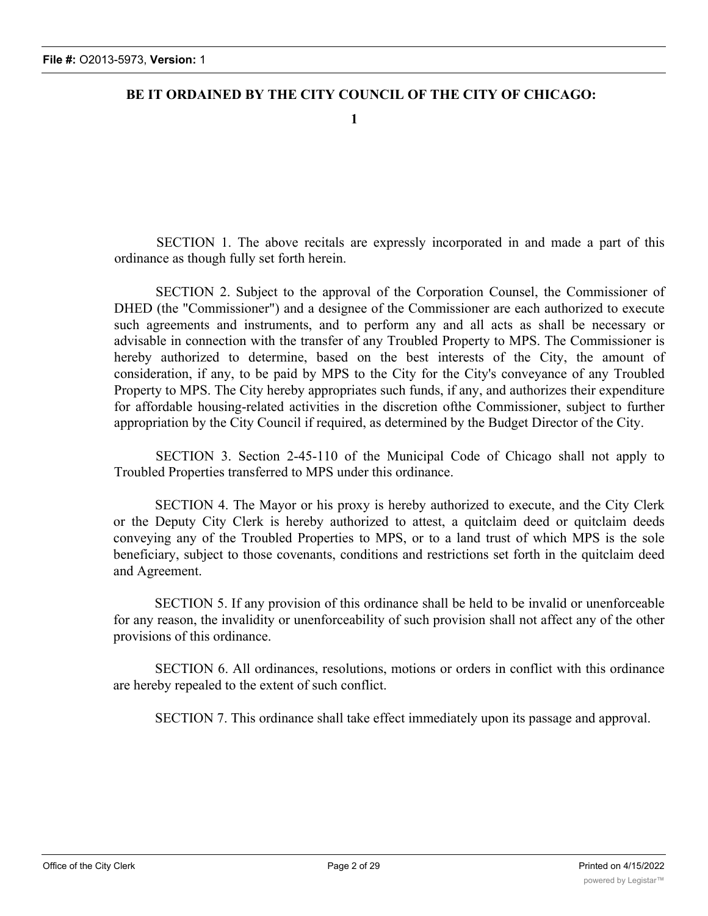# **BE IT ORDAINED BY THE CITY COUNCIL OF THE CITY OF CHICAGO:**

**1**

SECTION 1. The above recitals are expressly incorporated in and made a part of this ordinance as though fully set forth herein.

SECTION 2. Subject to the approval of the Corporation Counsel, the Commissioner of DHED (the "Commissioner") and a designee of the Commissioner are each authorized to execute such agreements and instruments, and to perform any and all acts as shall be necessary or advisable in connection with the transfer of any Troubled Property to MPS. The Commissioner is hereby authorized to determine, based on the best interests of the City, the amount of consideration, if any, to be paid by MPS to the City for the City's conveyance of any Troubled Property to MPS. The City hereby appropriates such funds, if any, and authorizes their expenditure for affordable housing-related activities in the discretion ofthe Commissioner, subject to further appropriation by the City Council if required, as determined by the Budget Director of the City.

SECTION 3. Section 2-45-110 of the Municipal Code of Chicago shall not apply to Troubled Properties transferred to MPS under this ordinance.

SECTION 4. The Mayor or his proxy is hereby authorized to execute, and the City Clerk or the Deputy City Clerk is hereby authorized to attest, a quitclaim deed or quitclaim deeds conveying any of the Troubled Properties to MPS, or to a land trust of which MPS is the sole beneficiary, subject to those covenants, conditions and restrictions set forth in the quitclaim deed and Agreement.

SECTION 5. If any provision of this ordinance shall be held to be invalid or unenforceable for any reason, the invalidity or unenforceability of such provision shall not affect any of the other provisions of this ordinance.

SECTION 6. All ordinances, resolutions, motions or orders in conflict with this ordinance are hereby repealed to the extent of such conflict.

SECTION 7. This ordinance shall take effect immediately upon its passage and approval.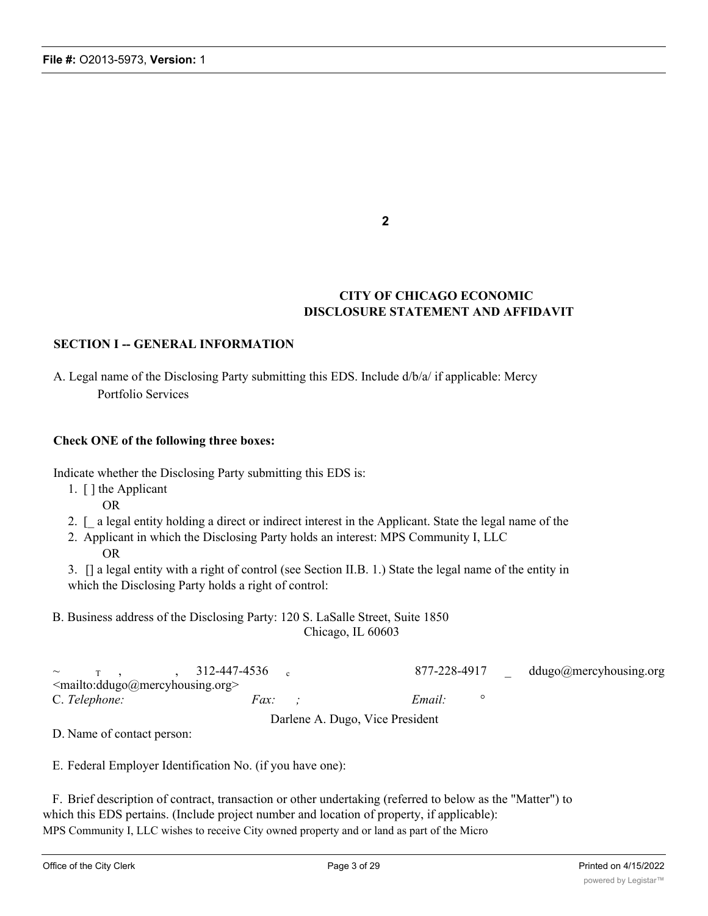# **CITY OF CHICAGO ECONOMIC DISCLOSURE STATEMENT AND AFFIDAVIT**

# **SECTION I -- GENERAL INFORMATION**

A. Legal name of the Disclosing Party submitting this EDS. Include d/b/a/ if applicable: Mercy Portfolio Services

### **Check ONE of the following three boxes:**

Indicate whether the Disclosing Party submitting this EDS is:

- 1. [ ] the Applicant
	- OR
- 2. [\_ a legal entity holding a direct or indirect interest in the Applicant. State the legal name of the
- 2. Applicant in which the Disclosing Party holds an interest: MPS Community I, LLC OR

3. [] a legal entity with a right of control (see Section II.B. 1.) State the legal name of the entity in which the Disclosing Party holds a right of control:

B. Business address of the Disclosing Party: 120 S. LaSalle Street, Suite 1850 Chicago, IL 60603

|               |                                       | $\sim$ T, $\frac{312-447-4536}{ }$ |  | 877-228-4917 |  | ddugo@mercyhousing.org |
|---------------|---------------------------------------|------------------------------------|--|--------------|--|------------------------|
|               | $\leq$ mailto:ddugo@mercyhousing.org> |                                    |  |              |  |                        |
| C. Telephone: |                                       | <i>Fax:</i>                        |  | Email:       |  |                        |

Darlene A. Dugo, Vice President

D. Name of contact person:

E. Federal Employer Identification No. (if you have one):

F. Brief description of contract, transaction or other undertaking (referred to below as the "Matter") to which this EDS pertains. (Include project number and location of property, if applicable): MPS Community I, LLC wishes to receive City owned property and or land as part of the Micro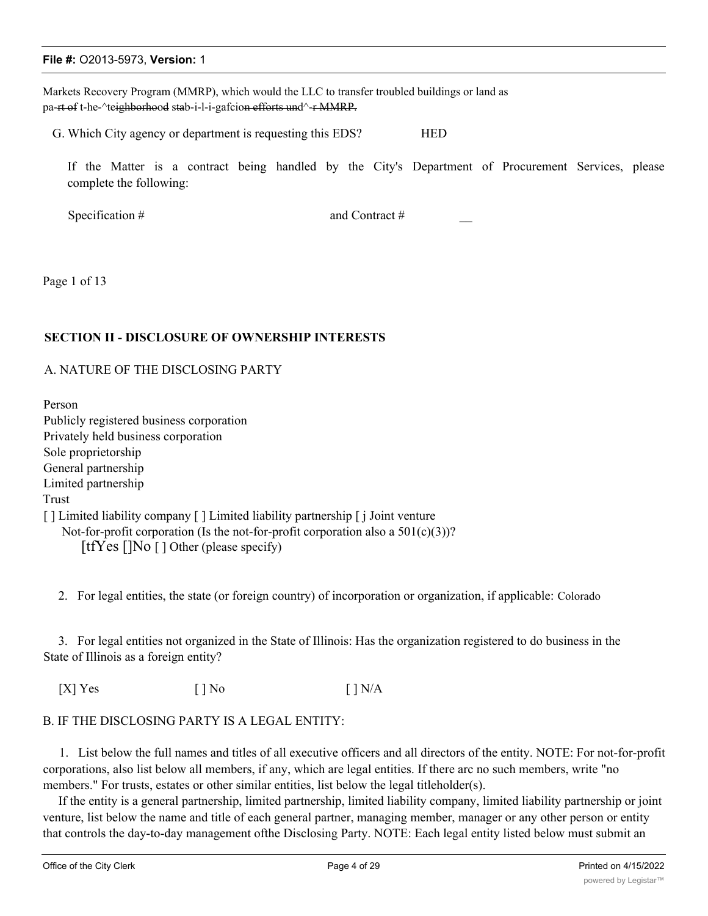Markets Recovery Program (MMRP), which would the LLC to transfer troubled buildings or land as pa-rt of t-he-^teighborhood stab-i-l-i-gafcion efforts und^-r MMRP.

G. Which City agency or department is requesting this EDS? HED

If the Matter is a contract being handled by the City's Department of Procurement Services, please complete the following:

Specification #  $\qquad \qquad \text{and Contract}$ #

Page 1 of 13

### **SECTION II - DISCLOSURE OF OWNERSHIP INTERESTS**

#### A. NATURE OF THE DISCLOSING PARTY

Person Publicly registered business corporation Privately held business corporation Sole proprietorship General partnership Limited partnership Trust [ ] Limited liability company [ ] Limited liability partnership [ j Joint venture Not-for-profit corporation (Is the not-for-profit corporation also a  $501(c)(3)$ )?

[tfYes []No [ ] Other (please specify)

2. For legal entities, the state (or foreign country) of incorporation or organization, if applicable: Colorado

3. For legal entities not organized in the State of Illinois: Has the organization registered to do business in the State of Illinois as a foreign entity?

 $[X]$  Yes  $[ ]$  No  $[ ]$  N/A

#### B. IF THE DISCLOSING PARTY IS A LEGAL ENTITY:

1. List below the full names and titles of all executive officers and all directors of the entity. NOTE: For not-for-profit corporations, also list below all members, if any, which are legal entities. If there arc no such members, write "no members." For trusts, estates or other similar entities, list below the legal titleholder(s).

If the entity is a general partnership, limited partnership, limited liability company, limited liability partnership or joint venture, list below the name and title of each general partner, managing member, manager or any other person or entity that controls the day-to-day management ofthe Disclosing Party. NOTE: Each legal entity listed below must submit an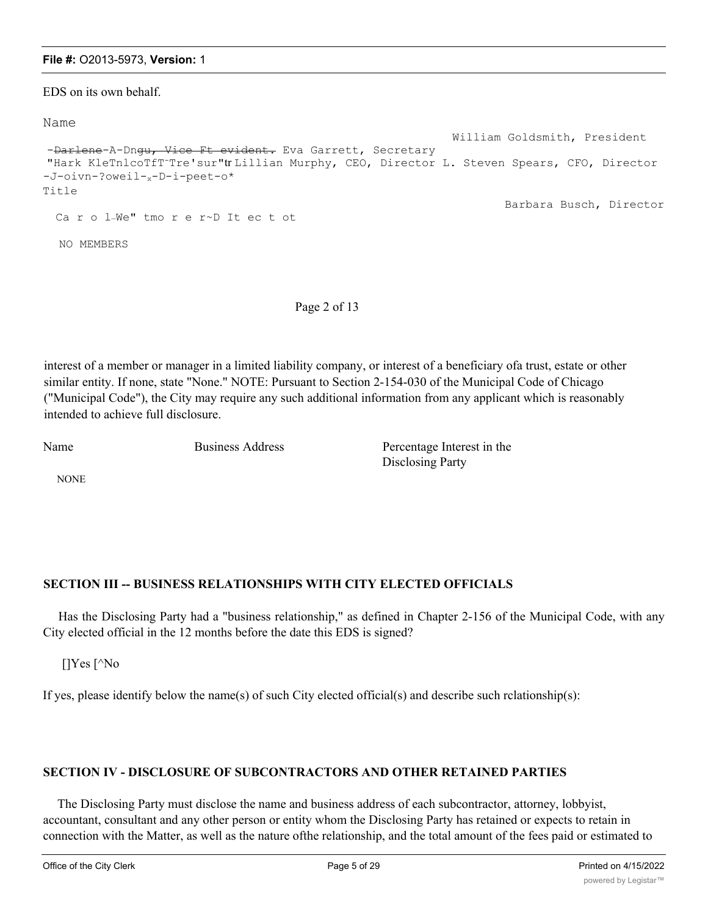EDS on its own behalf.

#### Name

```
William Goldsmith, President
-Darlene-A-Dngu, Vice Ft evident. Eva Garrett, Secretary
"Hark KleTnlcoTfT-Tre'sur"tr Lillian Murphy, CEO, Director L. Steven Spears, CFO, Director
-J-oivn-?oweil-x-D-i-peet-o*
Title
                                                                    Barbara Busch, Director
 Ca r o l-We" tmo r e r~D It ec t ot
  NO MEMBERS
```
Page 2 of 13

interest of a member or manager in a limited liability company, or interest of a beneficiary ofa trust, estate or other similar entity. If none, state "None." NOTE: Pursuant to Section 2-154-030 of the Municipal Code of Chicago ("Municipal Code"), the City may require any such additional information from any applicant which is reasonably intended to achieve full disclosure.

Name Business Address Percentage Interest in the Disclosing Party

NONE

# **SECTION III -- BUSINESS RELATIONSHIPS WITH CITY ELECTED OFFICIALS**

Has the Disclosing Party had a "business relationship," as defined in Chapter 2-156 of the Municipal Code, with any City elected official in the 12 months before the date this EDS is signed?

[]Yes [^No

If yes, please identify below the name(s) of such City elected official(s) and describe such rclationship(s):

# **SECTION IV - DISCLOSURE OF SUBCONTRACTORS AND OTHER RETAINED PARTIES**

The Disclosing Party must disclose the name and business address of each subcontractor, attorney, lobbyist, accountant, consultant and any other person or entity whom the Disclosing Party has retained or expects to retain in connection with the Matter, as well as the nature ofthe relationship, and the total amount of the fees paid or estimated to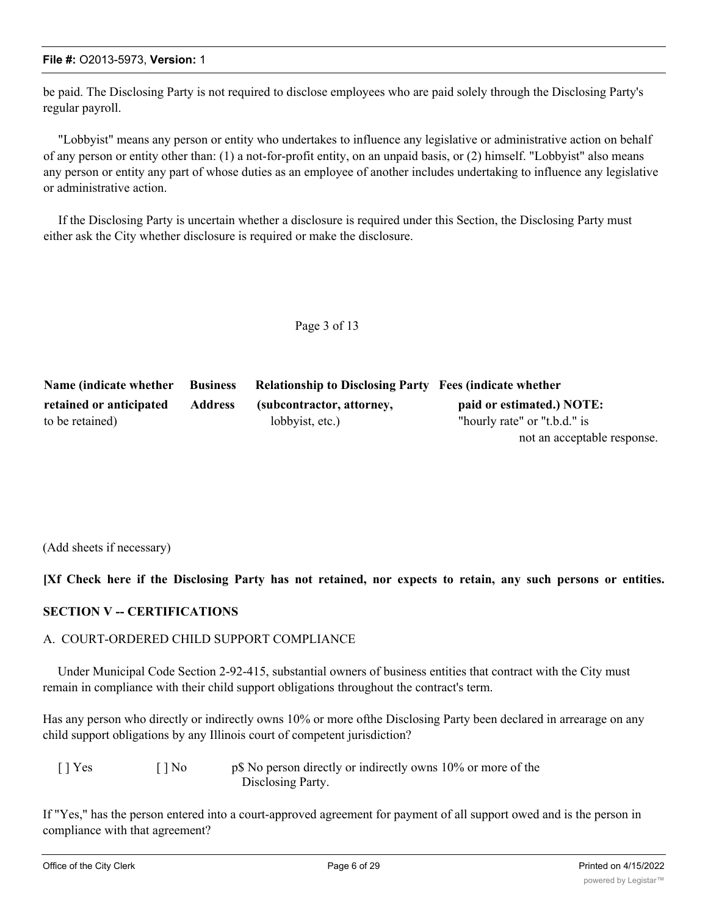be paid. The Disclosing Party is not required to disclose employees who are paid solely through the Disclosing Party's regular payroll.

"Lobbyist" means any person or entity who undertakes to influence any legislative or administrative action on behalf of any person or entity other than: (1) a not-for-profit entity, on an unpaid basis, or (2) himself. "Lobbyist" also means any person or entity any part of whose duties as an employee of another includes undertaking to influence any legislative or administrative action.

If the Disclosing Party is uncertain whether a disclosure is required under this Section, the Disclosing Party must either ask the City whether disclosure is required or make the disclosure.

Page 3 of 13

| Name (indicate whether Business |                | <b>Relationship to Disclosing Party Fees (indicate whether</b> |                              |
|---------------------------------|----------------|----------------------------------------------------------------|------------------------------|
| retained or anticipated         | <b>Address</b> | (subcontractor, attorney,                                      | paid or estimated.) NOTE:    |
| to be retained)                 |                | lobbyist, etc.)                                                | "hourly rate" or "t.b.d." is |
|                                 |                |                                                                | not an acceptable response.  |

(Add sheets if necessary)

# [Xf Check here if the Disclosing Party has not retained, nor expects to retain, any such persons or entities.

# **SECTION V -- CERTIFICATIONS**

# A. COURT-ORDERED CHILD SUPPORT COMPLIANCE

Under Municipal Code Section 2-92-415, substantial owners of business entities that contract with the City must remain in compliance with their child support obligations throughout the contract's term.

Has any person who directly or indirectly owns 10% or more ofthe Disclosing Party been declared in arrearage on any child support obligations by any Illinois court of competent jurisdiction?

| $\lceil \cdot \rceil$ Yes | $\lceil \cdot \rceil$ No | p\$ No person directly or indirectly owns 10% or more of the |
|---------------------------|--------------------------|--------------------------------------------------------------|
|                           |                          | Disclosing Party.                                            |

If "Yes," has the person entered into a court-approved agreement for payment of all support owed and is the person in compliance with that agreement?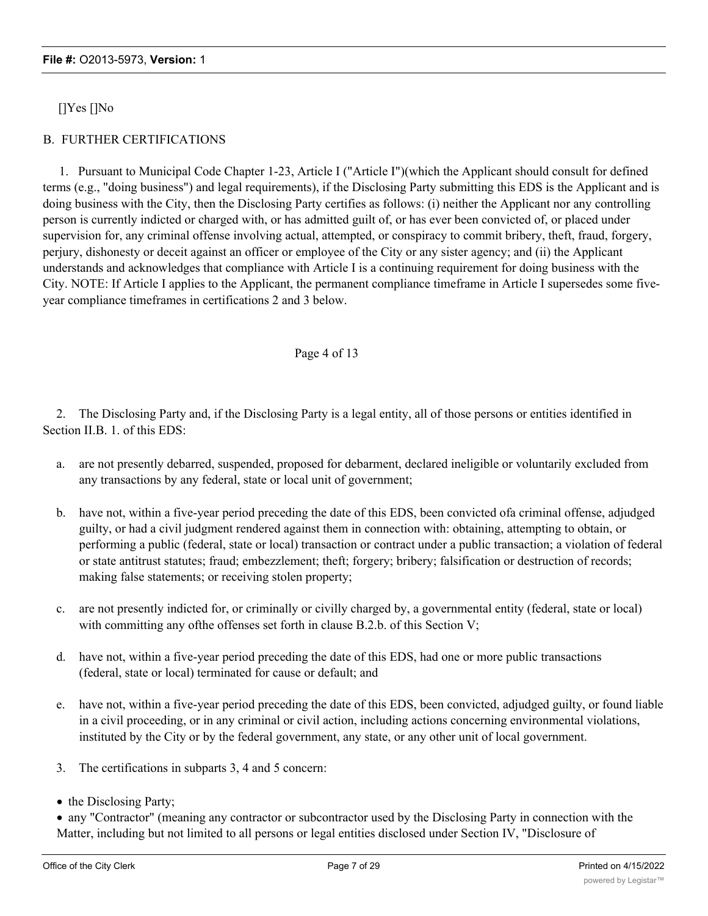[]Yes []No

# B. FURTHER CERTIFICATIONS

1. Pursuant to Municipal Code Chapter 1-23, Article I ("Article I")(which the Applicant should consult for defined terms (e.g., "doing business") and legal requirements), if the Disclosing Party submitting this EDS is the Applicant and is doing business with the City, then the Disclosing Party certifies as follows: (i) neither the Applicant nor any controlling person is currently indicted or charged with, or has admitted guilt of, or has ever been convicted of, or placed under supervision for, any criminal offense involving actual, attempted, or conspiracy to commit bribery, theft, fraud, forgery, perjury, dishonesty or deceit against an officer or employee of the City or any sister agency; and (ii) the Applicant understands and acknowledges that compliance with Article I is a continuing requirement for doing business with the City. NOTE: If Article I applies to the Applicant, the permanent compliance timeframe in Article I supersedes some fiveyear compliance timeframes in certifications 2 and 3 below.

# Page 4 of 13

2. The Disclosing Party and, if the Disclosing Party is a legal entity, all of those persons or entities identified in Section II.B. 1. of this EDS:

- a. are not presently debarred, suspended, proposed for debarment, declared ineligible or voluntarily excluded from any transactions by any federal, state or local unit of government;
- b. have not, within a five-year period preceding the date of this EDS, been convicted ofa criminal offense, adjudged guilty, or had a civil judgment rendered against them in connection with: obtaining, attempting to obtain, or performing a public (federal, state or local) transaction or contract under a public transaction; a violation of federal or state antitrust statutes; fraud; embezzlement; theft; forgery; bribery; falsification or destruction of records; making false statements; or receiving stolen property;
- c. are not presently indicted for, or criminally or civilly charged by, a governmental entity (federal, state or local) with committing any ofthe offenses set forth in clause B.2.b. of this Section V;
- d. have not, within a five-year period preceding the date of this EDS, had one or more public transactions (federal, state or local) terminated for cause or default; and
- e. have not, within a five-year period preceding the date of this EDS, been convicted, adjudged guilty, or found liable in a civil proceeding, or in any criminal or civil action, including actions concerning environmental violations, instituted by the City or by the federal government, any state, or any other unit of local government.
- 3. The certifications in subparts 3, 4 and 5 concern:
- the Disclosing Party;

<sup>·</sup> any "Contractor" (meaning any contractor or subcontractor used by the Disclosing Party in connection with the Matter, including but not limited to all persons or legal entities disclosed under Section IV, "Disclosure of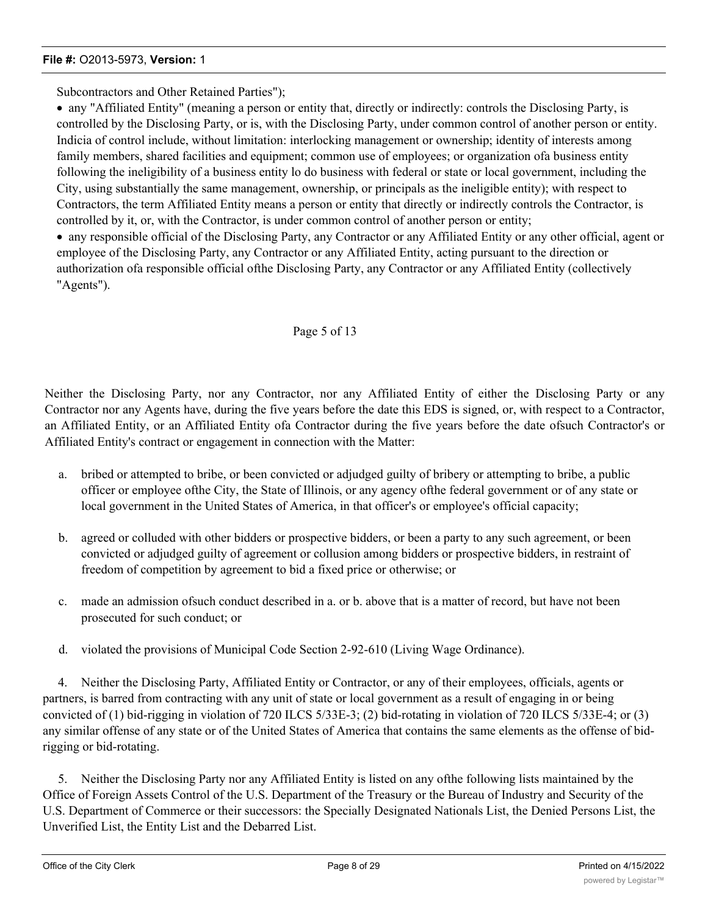Subcontractors and Other Retained Parties");

· any "Affiliated Entity" (meaning a person or entity that, directly or indirectly: controls the Disclosing Party, is controlled by the Disclosing Party, or is, with the Disclosing Party, under common control of another person or entity. Indicia of control include, without limitation: interlocking management or ownership; identity of interests among family members, shared facilities and equipment; common use of employees; or organization ofa business entity following the ineligibility of a business entity lo do business with federal or state or local government, including the City, using substantially the same management, ownership, or principals as the ineligible entity); with respect to Contractors, the term Affiliated Entity means a person or entity that directly or indirectly controls the Contractor, is controlled by it, or, with the Contractor, is under common control of another person or entity;

· any responsible official of the Disclosing Party, any Contractor or any Affiliated Entity or any other official, agent or employee of the Disclosing Party, any Contractor or any Affiliated Entity, acting pursuant to the direction or authorization ofa responsible official ofthe Disclosing Party, any Contractor or any Affiliated Entity (collectively "Agents").

# Page 5 of 13

Neither the Disclosing Party, nor any Contractor, nor any Affiliated Entity of either the Disclosing Party or any Contractor nor any Agents have, during the five years before the date this EDS is signed, or, with respect to a Contractor, an Affiliated Entity, or an Affiliated Entity ofa Contractor during the five years before the date ofsuch Contractor's or Affiliated Entity's contract or engagement in connection with the Matter:

- a. bribed or attempted to bribe, or been convicted or adjudged guilty of bribery or attempting to bribe, a public officer or employee ofthe City, the State of Illinois, or any agency ofthe federal government or of any state or local government in the United States of America, in that officer's or employee's official capacity;
- b. agreed or colluded with other bidders or prospective bidders, or been a party to any such agreement, or been convicted or adjudged guilty of agreement or collusion among bidders or prospective bidders, in restraint of freedom of competition by agreement to bid a fixed price or otherwise; or
- c. made an admission ofsuch conduct described in a. or b. above that is a matter of record, but have not been prosecuted for such conduct; or
- d. violated the provisions of Municipal Code Section 2-92-610 (Living Wage Ordinance).

4. Neither the Disclosing Party, Affiliated Entity or Contractor, or any of their employees, officials, agents or partners, is barred from contracting with any unit of state or local government as a result of engaging in or being convicted of (1) bid-rigging in violation of 720 ILCS 5/33E-3; (2) bid-rotating in violation of 720 ILCS 5/33E-4; or (3) any similar offense of any state or of the United States of America that contains the same elements as the offense of bidrigging or bid-rotating.

5. Neither the Disclosing Party nor any Affiliated Entity is listed on any ofthe following lists maintained by the Office of Foreign Assets Control of the U.S. Department of the Treasury or the Bureau of Industry and Security of the U.S. Department of Commerce or their successors: the Specially Designated Nationals List, the Denied Persons List, the Unverified List, the Entity List and the Debarred List.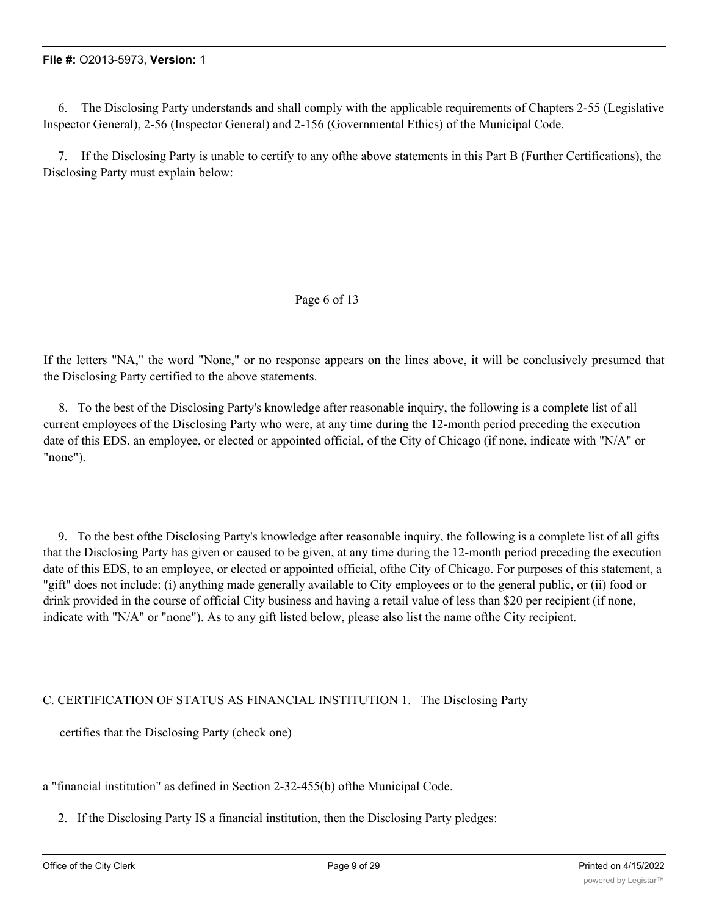6. The Disclosing Party understands and shall comply with the applicable requirements of Chapters 2-55 (Legislative Inspector General), 2-56 (Inspector General) and 2-156 (Governmental Ethics) of the Municipal Code.

7. If the Disclosing Party is unable to certify to any ofthe above statements in this Part B (Further Certifications), the Disclosing Party must explain below:

# Page 6 of 13

If the letters "NA," the word "None," or no response appears on the lines above, it will be conclusively presumed that the Disclosing Party certified to the above statements.

8. To the best of the Disclosing Party's knowledge after reasonable inquiry, the following is a complete list of all current employees of the Disclosing Party who were, at any time during the 12-month period preceding the execution date of this EDS, an employee, or elected or appointed official, of the City of Chicago (if none, indicate with "N/A" or "none").

9. To the best ofthe Disclosing Party's knowledge after reasonable inquiry, the following is a complete list of all gifts that the Disclosing Party has given or caused to be given, at any time during the 12-month period preceding the execution date of this EDS, to an employee, or elected or appointed official, ofthe City of Chicago. For purposes of this statement, a "gift" does not include: (i) anything made generally available to City employees or to the general public, or (ii) food or drink provided in the course of official City business and having a retail value of less than \$20 per recipient (if none, indicate with "N/A" or "none"). As to any gift listed below, please also list the name ofthe City recipient.

# C. CERTIFICATION OF STATUS AS FINANCIAL INSTITUTION 1. The Disclosing Party

certifies that the Disclosing Party (check one)

a "financial institution" as defined in Section 2-32-455(b) ofthe Municipal Code.

2. If the Disclosing Party IS a financial institution, then the Disclosing Party pledges: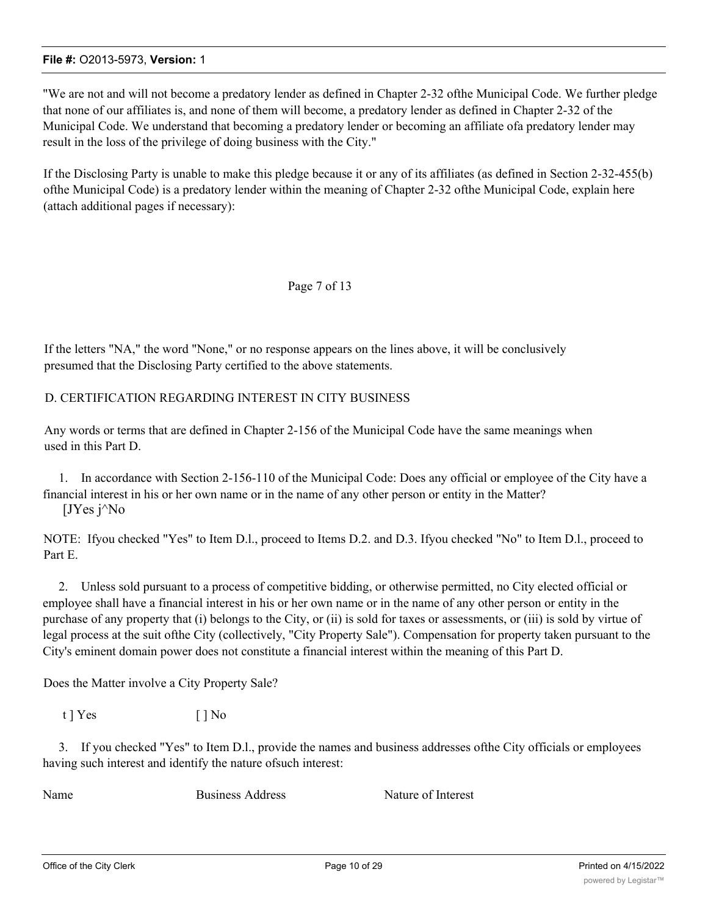"We are not and will not become a predatory lender as defined in Chapter 2-32 ofthe Municipal Code. We further pledge that none of our affiliates is, and none of them will become, a predatory lender as defined in Chapter 2-32 of the Municipal Code. We understand that becoming a predatory lender or becoming an affiliate ofa predatory lender may result in the loss of the privilege of doing business with the City."

If the Disclosing Party is unable to make this pledge because it or any of its affiliates (as defined in Section 2-32-455(b) ofthe Municipal Code) is a predatory lender within the meaning of Chapter 2-32 ofthe Municipal Code, explain here (attach additional pages if necessary):

### Page 7 of 13

If the letters "NA," the word "None," or no response appears on the lines above, it will be conclusively presumed that the Disclosing Party certified to the above statements.

# D. CERTIFICATION REGARDING INTEREST IN CITY BUSINESS

Any words or terms that are defined in Chapter 2-156 of the Municipal Code have the same meanings when used in this Part D.

1. In accordance with Section 2-156-110 of the Municipal Code: Does any official or employee of the City have a financial interest in his or her own name or in the name of any other person or entity in the Matter?  $[JYes j^N]$ 

NOTE: Ifyou checked "Yes" to Item D.l., proceed to Items D.2. and D.3. Ifyou checked "No" to Item D.l., proceed to Part E.

2. Unless sold pursuant to a process of competitive bidding, or otherwise permitted, no City elected official or employee shall have a financial interest in his or her own name or in the name of any other person or entity in the purchase of any property that (i) belongs to the City, or (ii) is sold for taxes or assessments, or (iii) is sold by virtue of legal process at the suit ofthe City (collectively, "City Property Sale"). Compensation for property taken pursuant to the City's eminent domain power does not constitute a financial interest within the meaning of this Part D.

Does the Matter involve a City Property Sale?

 $t$  ]  $Yes$  [ ]  $No$ 

3. If you checked "Yes" to Item D.l., provide the names and business addresses ofthe City officials or employees having such interest and identify the nature ofsuch interest:

Name Business Address Nature of Interest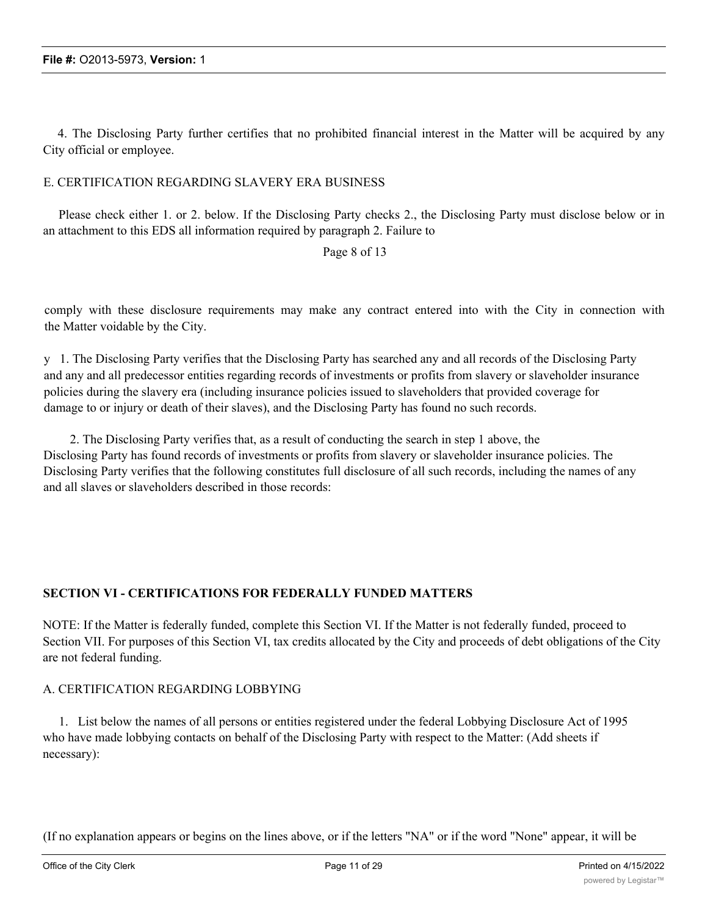4. The Disclosing Party further certifies that no prohibited financial interest in the Matter will be acquired by any City official or employee.

### E. CERTIFICATION REGARDING SLAVERY ERA BUSINESS

Please check either 1. or 2. below. If the Disclosing Party checks 2., the Disclosing Party must disclose below or in an attachment to this EDS all information required by paragraph 2. Failure to

### Page 8 of 13

comply with these disclosure requirements may make any contract entered into with the City in connection with the Matter voidable by the City.

y 1. The Disclosing Party verifies that the Disclosing Party has searched any and all records of the Disclosing Party and any and all predecessor entities regarding records of investments or profits from slavery or slaveholder insurance policies during the slavery era (including insurance policies issued to slaveholders that provided coverage for damage to or injury or death of their slaves), and the Disclosing Party has found no such records.

2. The Disclosing Party verifies that, as a result of conducting the search in step 1 above, the Disclosing Party has found records of investments or profits from slavery or slaveholder insurance policies. The Disclosing Party verifies that the following constitutes full disclosure of all such records, including the names of any and all slaves or slaveholders described in those records:

# **SECTION VI - CERTIFICATIONS FOR FEDERALLY FUNDED MATTERS**

NOTE: If the Matter is federally funded, complete this Section VI. If the Matter is not federally funded, proceed to Section VII. For purposes of this Section VI, tax credits allocated by the City and proceeds of debt obligations of the City are not federal funding.

#### A. CERTIFICATION REGARDING LOBBYING

1. List below the names of all persons or entities registered under the federal Lobbying Disclosure Act of 1995 who have made lobbying contacts on behalf of the Disclosing Party with respect to the Matter: (Add sheets if necessary):

(If no explanation appears or begins on the lines above, or if the letters "NA" or if the word "None" appear, it will be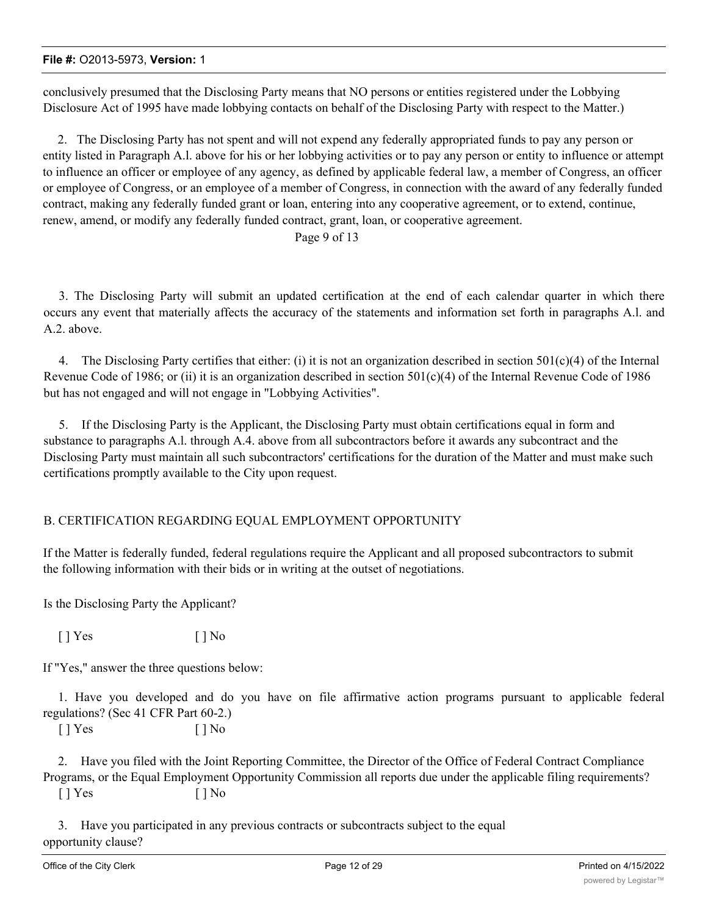conclusively presumed that the Disclosing Party means that NO persons or entities registered under the Lobbying Disclosure Act of 1995 have made lobbying contacts on behalf of the Disclosing Party with respect to the Matter.)

2. The Disclosing Party has not spent and will not expend any federally appropriated funds to pay any person or entity listed in Paragraph A.l. above for his or her lobbying activities or to pay any person or entity to influence or attempt to influence an officer or employee of any agency, as defined by applicable federal law, a member of Congress, an officer or employee of Congress, or an employee of a member of Congress, in connection with the award of any federally funded contract, making any federally funded grant or loan, entering into any cooperative agreement, or to extend, continue, renew, amend, or modify any federally funded contract, grant, loan, or cooperative agreement.

Page 9 of 13

3. The Disclosing Party will submit an updated certification at the end of each calendar quarter in which there occurs any event that materially affects the accuracy of the statements and information set forth in paragraphs A.l. and A.2. above.

4. The Disclosing Party certifies that either: (i) it is not an organization described in section  $501(c)(4)$  of the Internal Revenue Code of 1986; or (ii) it is an organization described in section  $501(c)(4)$  of the Internal Revenue Code of 1986 but has not engaged and will not engage in "Lobbying Activities".

5. If the Disclosing Party is the Applicant, the Disclosing Party must obtain certifications equal in form and substance to paragraphs A.l. through A.4. above from all subcontractors before it awards any subcontract and the Disclosing Party must maintain all such subcontractors' certifications for the duration of the Matter and must make such certifications promptly available to the City upon request.

# B. CERTIFICATION REGARDING EQUAL EMPLOYMENT OPPORTUNITY

If the Matter is federally funded, federal regulations require the Applicant and all proposed subcontractors to submit the following information with their bids or in writing at the outset of negotiations.

Is the Disclosing Party the Applicant?

 $[ ]$  Yes  $[ ]$  No

If "Yes," answer the three questions below:

1. Have you developed and do you have on file affirmative action programs pursuant to applicable federal regulations? (Sec 41 CFR Part 60-2.)

 $[ ]$  Yes  $[ ]$  No

2. Have you filed with the Joint Reporting Committee, the Director of the Office of Federal Contract Compliance Programs, or the Equal Employment Opportunity Commission all reports due under the applicable filing requirements?  $[ ]$  Yes  $[ ]$  No

3. Have you participated in any previous contracts or subcontracts subject to the equal opportunity clause?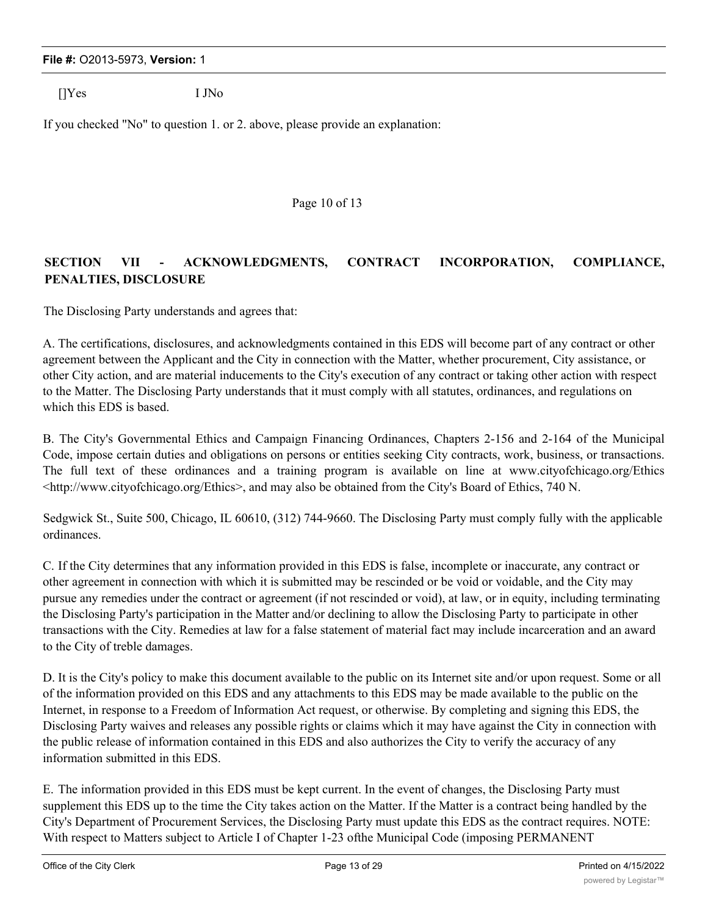[]Yes I JNo

If you checked "No" to question 1. or 2. above, please provide an explanation:

Page 10 of 13

# **SECTION VII - ACKNOWLEDGMENTS, CONTRACT INCORPORATION, COMPLIANCE, PENALTIES, DISCLOSURE**

The Disclosing Party understands and agrees that:

A. The certifications, disclosures, and acknowledgments contained in this EDS will become part of any contract or other agreement between the Applicant and the City in connection with the Matter, whether procurement, City assistance, or other City action, and are material inducements to the City's execution of any contract or taking other action with respect to the Matter. The Disclosing Party understands that it must comply with all statutes, ordinances, and regulations on which this EDS is based.

B. The City's Governmental Ethics and Campaign Financing Ordinances, Chapters 2-156 and 2-164 of the Municipal Code, impose certain duties and obligations on persons or entities seeking City contracts, work, business, or transactions. The full text of these ordinances and a training program is available on line at www.cityofchicago.org/Ethics <http://www.cityofchicago.org/Ethics>, and may also be obtained from the City's Board of Ethics, 740 N.

Sedgwick St., Suite 500, Chicago, IL 60610, (312) 744-9660. The Disclosing Party must comply fully with the applicable ordinances.

C. If the City determines that any information provided in this EDS is false, incomplete or inaccurate, any contract or other agreement in connection with which it is submitted may be rescinded or be void or voidable, and the City may pursue any remedies under the contract or agreement (if not rescinded or void), at law, or in equity, including terminating the Disclosing Party's participation in the Matter and/or declining to allow the Disclosing Party to participate in other transactions with the City. Remedies at law for a false statement of material fact may include incarceration and an award to the City of treble damages.

D. It is the City's policy to make this document available to the public on its Internet site and/or upon request. Some or all of the information provided on this EDS and any attachments to this EDS may be made available to the public on the Internet, in response to a Freedom of Information Act request, or otherwise. By completing and signing this EDS, the Disclosing Party waives and releases any possible rights or claims which it may have against the City in connection with the public release of information contained in this EDS and also authorizes the City to verify the accuracy of any information submitted in this EDS.

E. The information provided in this EDS must be kept current. In the event of changes, the Disclosing Party must supplement this EDS up to the time the City takes action on the Matter. If the Matter is a contract being handled by the City's Department of Procurement Services, the Disclosing Party must update this EDS as the contract requires. NOTE: With respect to Matters subject to Article I of Chapter 1-23 ofthe Municipal Code (imposing PERMANENT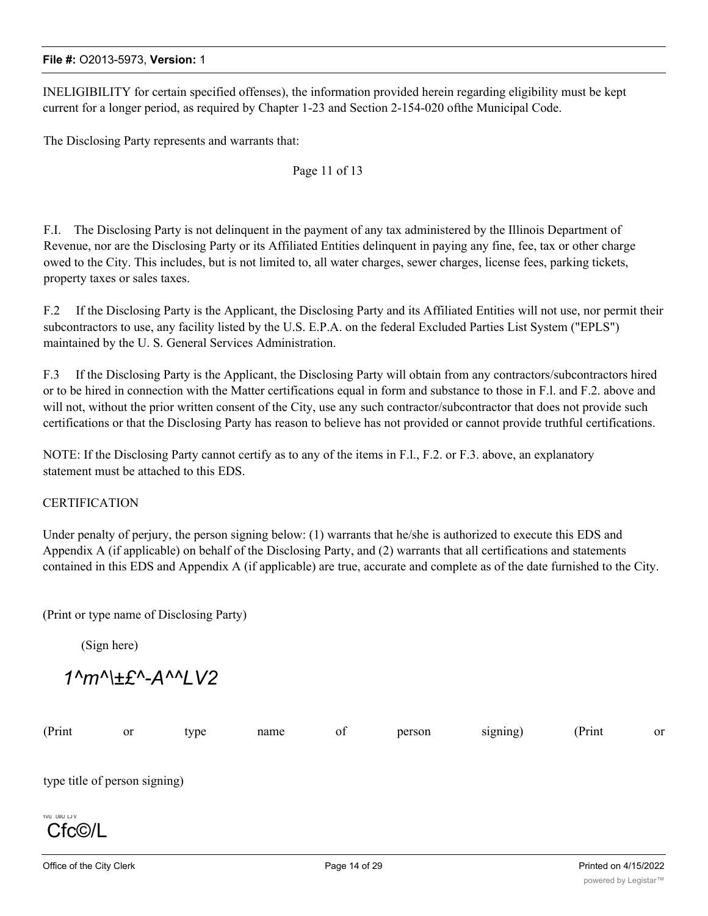INELIGIBILITY for certain specified offenses), the information provided herein regarding eligibility must be kept current for a longer period, as required by Chapter 1-23 and Section 2-154-020 ofthe Municipal Code.

The Disclosing Party represents and warrants that:

Page 11 of 13

F.I. The Disclosing Party is not delinquent in the payment of any tax administered by the Illinois Department of Revenue, nor are the Disclosing Party or its Affiliated Entities delinquent in paying any fine, fee, tax or other charge owed to the City. This includes, but is not limited to, all water charges, sewer charges, license fees, parking tickets, property taxes or sales taxes.

F.2 If the Disclosing Party is the Applicant, the Disclosing Party and its Affiliated Entities will not use, nor permit their subcontractors to use, any facility listed by the U.S. E.P.A. on the federal Excluded Parties List System ("EPLS") maintained by the U. S. General Services Administration.

F.3 If the Disclosing Party is the Applicant, the Disclosing Party will obtain from any contractors/subcontractors hired or to be hired in connection with the Matter certifications equal in form and substance to those in F.l. and F.2. above and will not, without the prior written consent of the City, use any such contractor/subcontractor that does not provide such certifications or that the Disclosing Party has reason to believe has not provided or cannot provide truthful certifications.

NOTE: If the Disclosing Party cannot certify as to any of the items in F.l., F.2. or F.3. above, an explanatory statement must be attached to this EDS.

### CERTIFICATION

Under penalty of perjury, the person signing below: (1) warrants that he/she is authorized to execute this EDS and Appendix A (if applicable) on behalf of the Disclosing Party, and (2) warrants that all certifications and statements contained in this EDS and Appendix A (if applicable) are true, accurate and complete as of the date furnished to the City.

(Print or type name of Disclosing Party)

(Sign here)

*1^m^\±£^-A^^LV2*

| (Print                        | or | type | name | of | person | signing) | (Print | or |
|-------------------------------|----|------|------|----|--------|----------|--------|----|
|                               |    |      |      |    |        |          |        |    |
| type title of person signing) |    |      |      |    |        |          |        |    |
| 1VU UIIU LJ V                 |    |      |      |    |        |          |        |    |
| Cfc©/L                        |    |      |      |    |        |          |        |    |
|                               |    |      |      |    |        |          |        |    |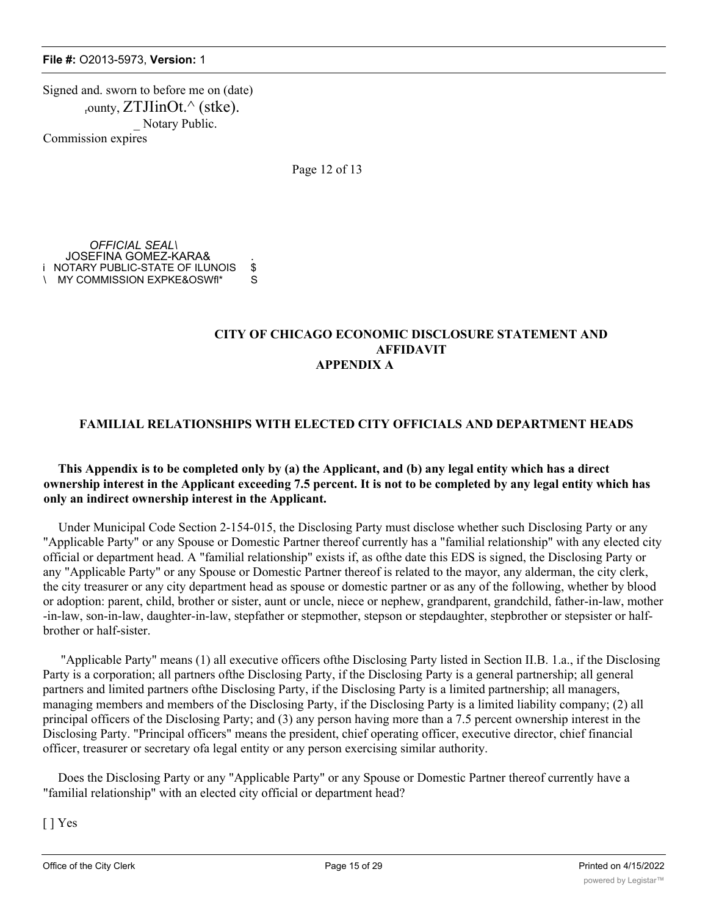Signed and. sworn to before me on (date)  $_{\rm r}$ ounty, ZTJIinOt. $^{\wedge}$  (stke). Notary Public. Commission expires

Page 12 of 13

*OFFICIAL SEAL\* JOSEFINA GOMEZ-KARA& . i NOTARY PUBLIC-STATE OF ILUNOIS \$ \ MY COMMISSION EXPKE&OSWfl\* S

### **CITY OF CHICAGO ECONOMIC DISCLOSURE STATEMENT AND AFFIDAVIT APPENDIX A**

# **FAMILIAL RELATIONSHIPS WITH ELECTED CITY OFFICIALS AND DEPARTMENT HEADS**

# **This Appendix is to be completed only by (a) the Applicant, and (b) any legal entity which has a direct ownership interest in the Applicant exceeding 7.5 percent. It is not to be completed by any legal entity which has only an indirect ownership interest in the Applicant.**

Under Municipal Code Section 2-154-015, the Disclosing Party must disclose whether such Disclosing Party or any "Applicable Party" or any Spouse or Domestic Partner thereof currently has a "familial relationship" with any elected city official or department head. A "familial relationship" exists if, as ofthe date this EDS is signed, the Disclosing Party or any "Applicable Party" or any Spouse or Domestic Partner thereof is related to the mayor, any alderman, the city clerk, the city treasurer or any city department head as spouse or domestic partner or as any of the following, whether by blood or adoption: parent, child, brother or sister, aunt or uncle, niece or nephew, grandparent, grandchild, father-in-law, mother -in-law, son-in-law, daughter-in-law, stepfather or stepmother, stepson or stepdaughter, stepbrother or stepsister or halfbrother or half-sister.

"Applicable Party" means (1) all executive officers ofthe Disclosing Party listed in Section II.B. 1.a., if the Disclosing Party is a corporation; all partners ofthe Disclosing Party, if the Disclosing Party is a general partnership; all general partners and limited partners ofthe Disclosing Party, if the Disclosing Party is a limited partnership; all managers, managing members and members of the Disclosing Party, if the Disclosing Party is a limited liability company; (2) all principal officers of the Disclosing Party; and (3) any person having more than a 7.5 percent ownership interest in the Disclosing Party. "Principal officers" means the president, chief operating officer, executive director, chief financial officer, treasurer or secretary ofa legal entity or any person exercising similar authority.

Does the Disclosing Party or any "Applicable Party" or any Spouse or Domestic Partner thereof currently have a "familial relationship" with an elected city official or department head?

[ ] Yes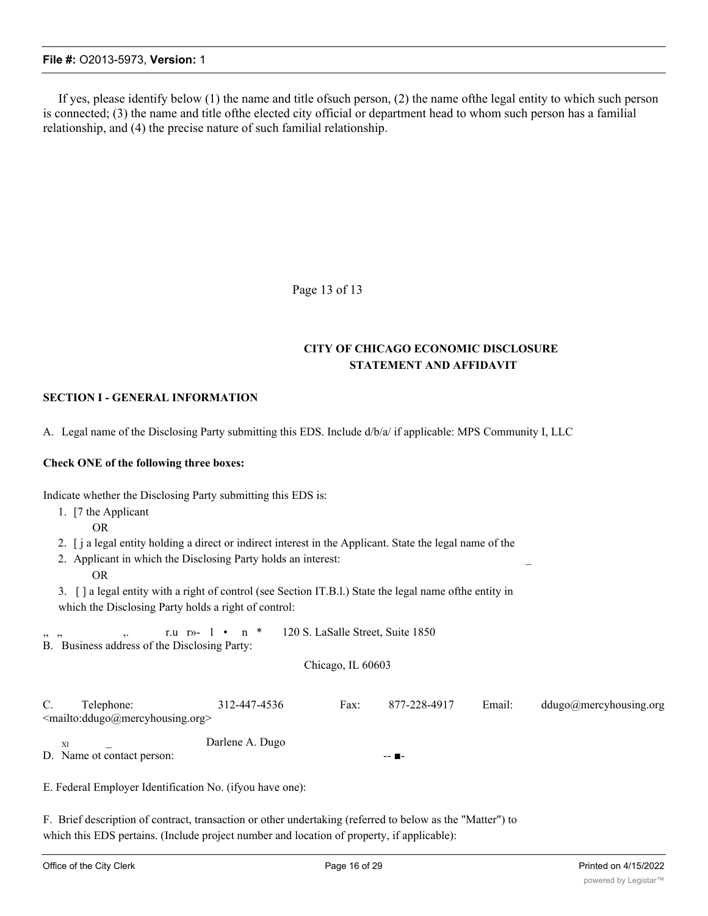If yes, please identify below (1) the name and title ofsuch person, (2) the name ofthe legal entity to which such person is connected; (3) the name and title ofthe elected city official or department head to whom such person has a familial relationship, and (4) the precise nature of such familial relationship.

Page 13 of 13

# **CITY OF CHICAGO ECONOMIC DISCLOSURE STATEMENT AND AFFIDAVIT**

# **SECTION I - GENERAL INFORMATION**

A. Legal name of the Disclosing Party submitting this EDS. Include d/b/a/ if applicable: MPS Community I, LLC

#### **Check ONE of the following three boxes:**

Indicate whether the Disclosing Party submitting this EDS is: 1. [7 the Applicant OR 2. [ j a legal entity holding a direct or indirect interest in the Applicant. State the legal name of the 2. Applicant in which the Disclosing Party holds an interest: OR 3. [ ] a legal entity with a right of control (see Section IT.B.l.) State the legal name ofthe entity in which the Disclosing Party holds a right of control: r.u  $r \rightarrow 1$  • n \* 120 S. LaSalle Street, Suite 1850 B. Business address of the Disclosing Party: Chicago, IL 60603 C. Telephone: 312-447-4536 Fax: 877-228-4917 Email: ddugo@mercyhousing.org <mailto:ddugo@mercyhousing.org> XI Darlene A. Dugo D. Name ot contact person: --E. Federal Employer Identification No. (ifyou have one):

F. Brief description of contract, transaction or other undertaking (referred to below as the "Matter") to which this EDS pertains. (Include project number and location of property, if applicable):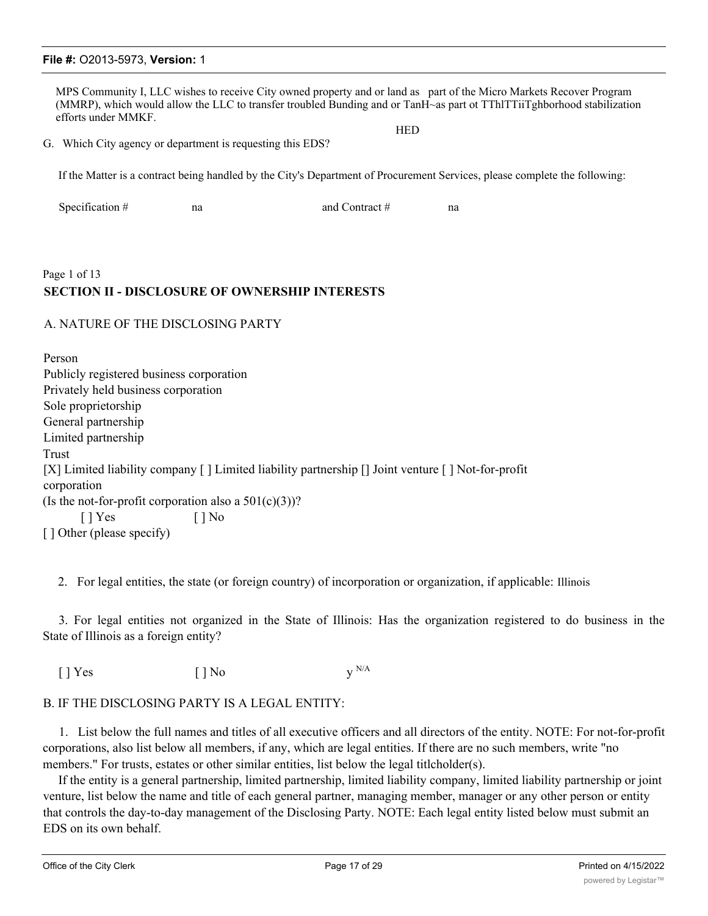MPS Community I, LLC wishes to receive City owned property and or land as part of the Micro Markets Recover Program (MMRP), which would allow the LLC to transfer troubled Bunding and or TanH~as part ot TThlTTiiTghborhood stabilization efforts under MMKF. **HED** 

G. Which City agency or department is requesting this EDS?

If the Matter is a contract being handled by the City's Department of Procurement Services, please complete the following:

| Specification $#$ | na | and Contract $#$ |  |
|-------------------|----|------------------|--|
|                   |    |                  |  |

# Page 1 of 13 **SECTION II - DISCLOSURE OF OWNERSHIP INTERESTS**

#### A. NATURE OF THE DISCLOSING PARTY

Person Publicly registered business corporation Privately held business corporation Sole proprietorship General partnership Limited partnership Trust [X] Limited liability company [ ] Limited liability partnership [] Joint venture [ ] Not-for-profit corporation (Is the not-for-profit corporation also a  $501(c)(3)$ )?  $[ ]$  Yes  $[ ]$  No [ ] Other (please specify)

2. For legal entities, the state (or foreign country) of incorporation or organization, if applicable: Illinois

3. For legal entities not organized in the State of Illinois: Has the organization registered to do business in the State of Illinois as a foreign entity?

 $[ ]$  Yes  $[ ]$  No  $y^{N/A}$ 

# B. IF THE DISCLOSING PARTY IS A LEGAL ENTITY:

1. List below the full names and titles of all executive officers and all directors of the entity. NOTE: For not-for-profit corporations, also list below all members, if any, which are legal entities. If there are no such members, write "no members." For trusts, estates or other similar entities, list below the legal titlcholder(s).

If the entity is a general partnership, limited partnership, limited liability company, limited liability partnership or joint venture, list below the name and title of each general partner, managing member, manager or any other person or entity that controls the day-to-day management of the Disclosing Party. NOTE: Each legal entity listed below must submit an EDS on its own behalf.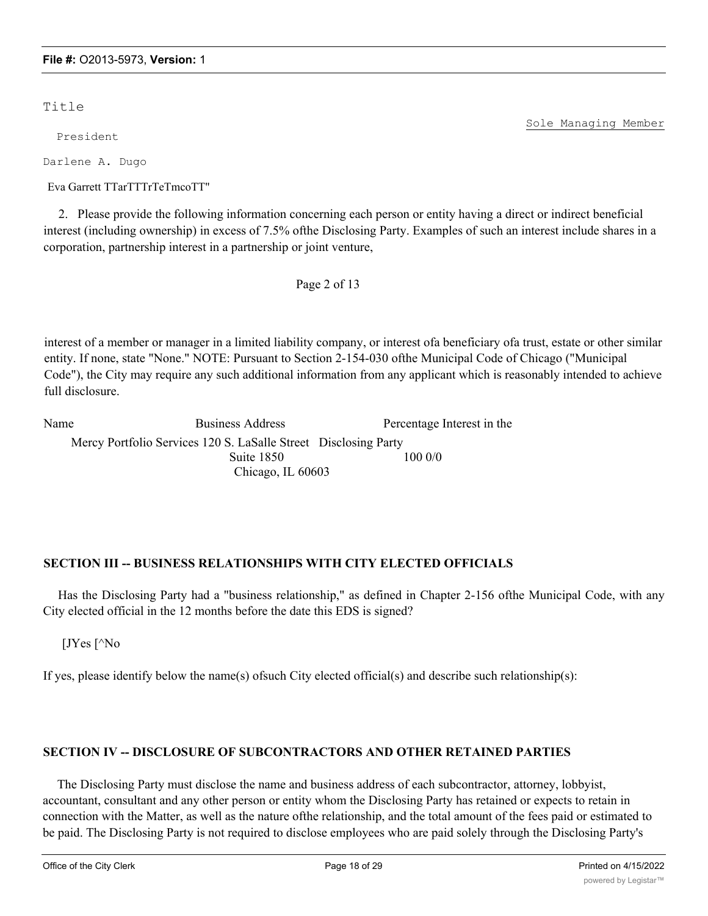Title

President

Darlene A. Dugo

Eva Garrett TTarTTTrTeTmcoTT"

2. Please provide the following information concerning each person or entity having a direct or indirect beneficial interest (including ownership) in excess of 7.5% ofthe Disclosing Party. Examples of such an interest include shares in a corporation, partnership interest in a partnership or joint venture,

Page 2 of 13

interest of a member or manager in a limited liability company, or interest ofa beneficiary ofa trust, estate or other similar entity. If none, state "None." NOTE: Pursuant to Section 2-154-030 ofthe Municipal Code of Chicago ("Municipal Code"), the City may require any such additional information from any applicant which is reasonably intended to achieve full disclosure.

Name Business Address Percentage Interest in the Mercy Portfolio Services 120 S. LaSalle Street Disclosing Party Suite 1850 100 0/0 Chicago, IL 60603

# **SECTION III -- BUSINESS RELATIONSHIPS WITH CITY ELECTED OFFICIALS**

Has the Disclosing Party had a "business relationship," as defined in Chapter 2-156 ofthe Municipal Code, with any City elected official in the 12 months before the date this EDS is signed?

[JYes [^No

If yes, please identify below the name(s) of such City elected official(s) and describe such relationship(s):

# **SECTION IV -- DISCLOSURE OF SUBCONTRACTORS AND OTHER RETAINED PARTIES**

The Disclosing Party must disclose the name and business address of each subcontractor, attorney, lobbyist, accountant, consultant and any other person or entity whom the Disclosing Party has retained or expects to retain in connection with the Matter, as well as the nature ofthe relationship, and the total amount of the fees paid or estimated to be paid. The Disclosing Party is not required to disclose employees who are paid solely through the Disclosing Party's

Sole Managing Member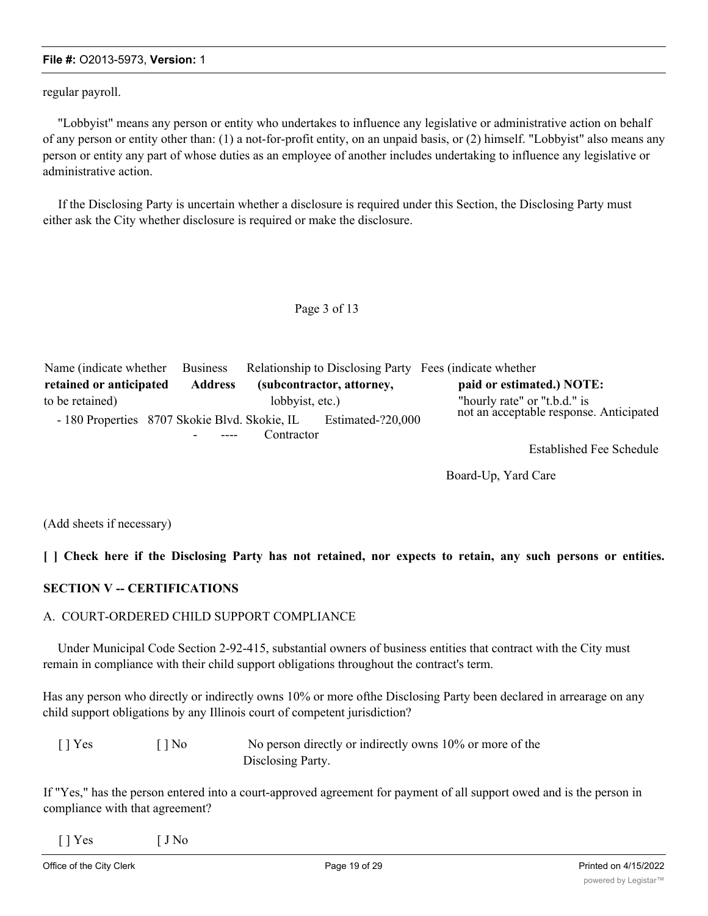regular payroll.

"Lobbyist" means any person or entity who undertakes to influence any legislative or administrative action on behalf of any person or entity other than: (1) a not-for-profit entity, on an unpaid basis, or (2) himself. "Lobbyist" also means any person or entity any part of whose duties as an employee of another includes undertaking to influence any legislative or administrative action.

If the Disclosing Party is uncertain whether a disclosure is required under this Section, the Disclosing Party must either ask the City whether disclosure is required or make the disclosure.

### Page 3 of 13

| Name (indicate whether                        | <b>Business</b>                    |                 |                           | Relationship to Disclosing Party Fees (indicate whether                 |
|-----------------------------------------------|------------------------------------|-----------------|---------------------------|-------------------------------------------------------------------------|
| retained or anticipated                       | <b>Address</b>                     |                 | (subcontractor, attorney, | paid or estimated.) NOTE:                                               |
| to be retained)                               |                                    | lobbyist, etc.) |                           | "hourly rate" or "t.b.d." is<br>not an acceptable response. Anticipated |
| - 180 Properties 8707 Skokie Blvd. Skokie, IL | $\sim$ $\sim$ $\sim$ $\sim$ $\sim$ | Contractor      | Estimated-?20,000         |                                                                         |
|                                               |                                    |                 |                           | $\Gamma_{\alpha}$ tohlighed $\Gamma_{\alpha\alpha}$ Cohedule            |

Established Fee Schedule

Board-Up, Yard Care

(Add sheets if necessary)

[ ] Check here if the Disclosing Party has not retained, nor expects to retain, any such persons or entities.

# **SECTION V -- CERTIFICATIONS**

# A. COURT-ORDERED CHILD SUPPORT COMPLIANCE

Under Municipal Code Section 2-92-415, substantial owners of business entities that contract with the City must remain in compliance with their child support obligations throughout the contract's term.

Has any person who directly or indirectly owns 10% or more ofthe Disclosing Party been declared in arrearage on any child support obligations by any Illinois court of competent jurisdiction?

| $\lceil$   Yes<br>$\lceil \cdot \rceil$ No |  | No person directly or indirectly owns 10% or more of the |
|--------------------------------------------|--|----------------------------------------------------------|
|                                            |  | Disclosing Party.                                        |

If "Yes," has the person entered into a court-approved agreement for payment of all support owed and is the person in compliance with that agreement?

| $\left[\right]$ Yes | $\int$ J No |
|---------------------|-------------|
|                     |             |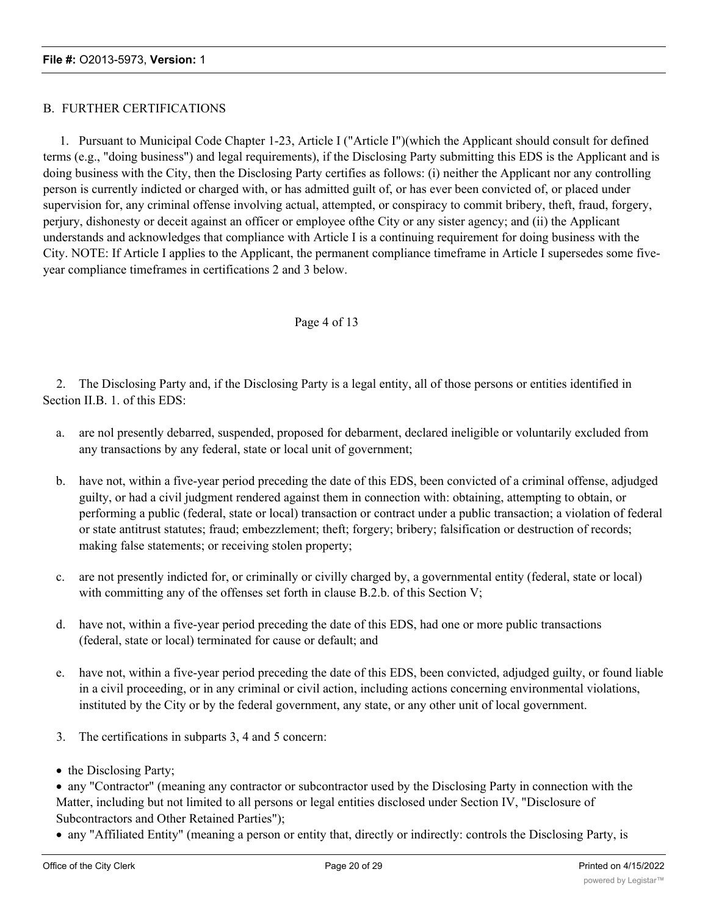# B. FURTHER CERTIFICATIONS

1. Pursuant to Municipal Code Chapter 1-23, Article I ("Article I")(which the Applicant should consult for defined terms (e.g., "doing business") and legal requirements), if the Disclosing Party submitting this EDS is the Applicant and is doing business with the City, then the Disclosing Party certifies as follows: (i) neither the Applicant nor any controlling person is currently indicted or charged with, or has admitted guilt of, or has ever been convicted of, or placed under supervision for, any criminal offense involving actual, attempted, or conspiracy to commit bribery, theft, fraud, forgery, perjury, dishonesty or deceit against an officer or employee ofthe City or any sister agency; and (ii) the Applicant understands and acknowledges that compliance with Article I is a continuing requirement for doing business with the City. NOTE: If Article I applies to the Applicant, the permanent compliance timeframe in Article I supersedes some fiveyear compliance timeframes in certifications 2 and 3 below.

# Page 4 of 13

2. The Disclosing Party and, if the Disclosing Party is a legal entity, all of those persons or entities identified in Section II.B. 1. of this EDS:

- a. are nol presently debarred, suspended, proposed for debarment, declared ineligible or voluntarily excluded from any transactions by any federal, state or local unit of government;
- b. have not, within a five-year period preceding the date of this EDS, been convicted of a criminal offense, adjudged guilty, or had a civil judgment rendered against them in connection with: obtaining, attempting to obtain, or performing a public (federal, state or local) transaction or contract under a public transaction; a violation of federal or state antitrust statutes; fraud; embezzlement; theft; forgery; bribery; falsification or destruction of records; making false statements; or receiving stolen property;
- c. are not presently indicted for, or criminally or civilly charged by, a governmental entity (federal, state or local) with committing any of the offenses set forth in clause B.2.b. of this Section V;
- d. have not, within a five-year period preceding the date of this EDS, had one or more public transactions (federal, state or local) terminated for cause or default; and
- e. have not, within a five-year period preceding the date of this EDS, been convicted, adjudged guilty, or found liable in a civil proceeding, or in any criminal or civil action, including actions concerning environmental violations, instituted by the City or by the federal government, any state, or any other unit of local government.
- 3. The certifications in subparts 3, 4 and 5 concern:
- the Disclosing Party;
- · any "Contractor" (meaning any contractor or subcontractor used by the Disclosing Party in connection with the Matter, including but not limited to all persons or legal entities disclosed under Section IV, "Disclosure of Subcontractors and Other Retained Parties");
- · any "Affiliated Entity" (meaning a person or entity that, directly or indirectly: controls the Disclosing Party, is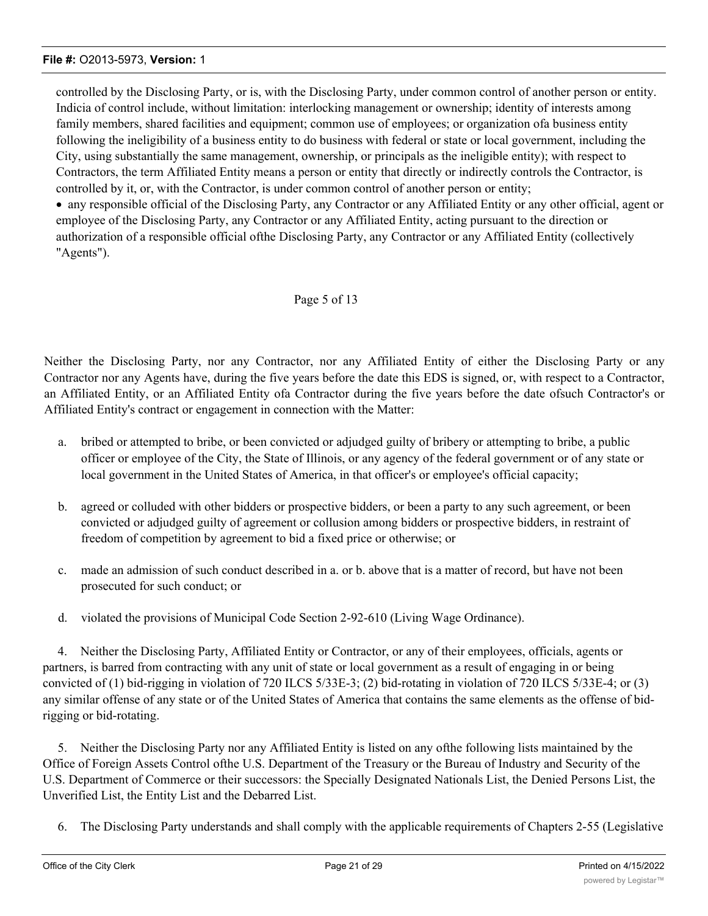controlled by the Disclosing Party, or is, with the Disclosing Party, under common control of another person or entity. Indicia of control include, without limitation: interlocking management or ownership; identity of interests among family members, shared facilities and equipment; common use of employees; or organization ofa business entity following the ineligibility of a business entity to do business with federal or state or local government, including the City, using substantially the same management, ownership, or principals as the ineligible entity); with respect to Contractors, the term Affiliated Entity means a person or entity that directly or indirectly controls the Contractor, is controlled by it, or, with the Contractor, is under common control of another person or entity;

· any responsible official of the Disclosing Party, any Contractor or any Affiliated Entity or any other official, agent or employee of the Disclosing Party, any Contractor or any Affiliated Entity, acting pursuant to the direction or authorization of a responsible official ofthe Disclosing Party, any Contractor or any Affiliated Entity (collectively "Agents").

# Page 5 of 13

Neither the Disclosing Party, nor any Contractor, nor any Affiliated Entity of either the Disclosing Party or any Contractor nor any Agents have, during the five years before the date this EDS is signed, or, with respect to a Contractor, an Affiliated Entity, or an Affiliated Entity ofa Contractor during the five years before the date ofsuch Contractor's or Affiliated Entity's contract or engagement in connection with the Matter:

- a. bribed or attempted to bribe, or been convicted or adjudged guilty of bribery or attempting to bribe, a public officer or employee of the City, the State of Illinois, or any agency of the federal government or of any state or local government in the United States of America, in that officer's or employee's official capacity;
- b. agreed or colluded with other bidders or prospective bidders, or been a party to any such agreement, or been convicted or adjudged guilty of agreement or collusion among bidders or prospective bidders, in restraint of freedom of competition by agreement to bid a fixed price or otherwise; or
- c. made an admission of such conduct described in a. or b. above that is a matter of record, but have not been prosecuted for such conduct; or
- d. violated the provisions of Municipal Code Section 2-92-610 (Living Wage Ordinance).

4. Neither the Disclosing Party, Affiliated Entity or Contractor, or any of their employees, officials, agents or partners, is barred from contracting with any unit of state or local government as a result of engaging in or being convicted of (1) bid-rigging in violation of 720 ILCS 5/33E-3; (2) bid-rotating in violation of 720 ILCS 5/33E-4; or (3) any similar offense of any state or of the United States of America that contains the same elements as the offense of bidrigging or bid-rotating.

5. Neither the Disclosing Party nor any Affiliated Entity is listed on any ofthe following lists maintained by the Office of Foreign Assets Control ofthe U.S. Department of the Treasury or the Bureau of Industry and Security of the U.S. Department of Commerce or their successors: the Specially Designated Nationals List, the Denied Persons List, the Unverified List, the Entity List and the Debarred List.

6. The Disclosing Party understands and shall comply with the applicable requirements of Chapters 2-55 (Legislative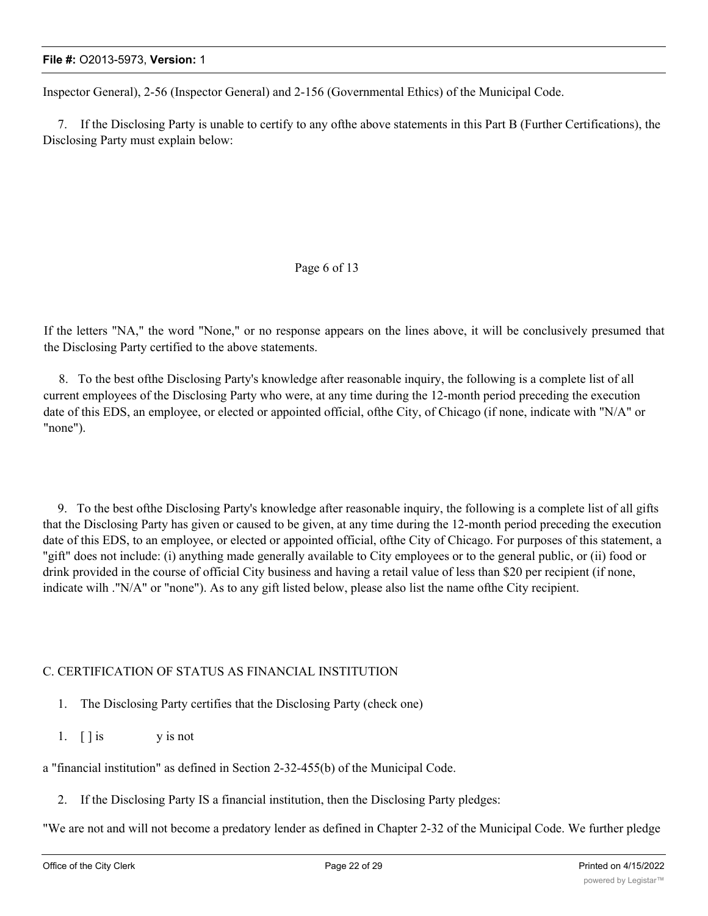Inspector General), 2-56 (Inspector General) and 2-156 (Governmental Ethics) of the Municipal Code.

7. If the Disclosing Party is unable to certify to any ofthe above statements in this Part B (Further Certifications), the Disclosing Party must explain below:

# Page 6 of 13

If the letters "NA," the word "None," or no response appears on the lines above, it will be conclusively presumed that the Disclosing Party certified to the above statements.

8. To the best ofthe Disclosing Party's knowledge after reasonable inquiry, the following is a complete list of all current employees of the Disclosing Party who were, at any time during the 12-month period preceding the execution date of this EDS, an employee, or elected or appointed official, ofthe City, of Chicago (if none, indicate with "N/A" or "none").

9. To the best ofthe Disclosing Party's knowledge after reasonable inquiry, the following is a complete list of all gifts that the Disclosing Party has given or caused to be given, at any time during the 12-month period preceding the execution date of this EDS, to an employee, or elected or appointed official, ofthe City of Chicago. For purposes of this statement, a "gift" does not include: (i) anything made generally available to City employees or to the general public, or (ii) food or drink provided in the course of official City business and having a retail value of less than \$20 per recipient (if none, indicate wilh ."N/A" or "none"). As to any gift listed below, please also list the name ofthe City recipient.

# C. CERTIFICATION OF STATUS AS FINANCIAL INSTITUTION

- 1. The Disclosing Party certifies that the Disclosing Party (check one)
- 1. [ ] is y is not
- a "financial institution" as defined in Section 2-32-455(b) of the Municipal Code.
	- 2. If the Disclosing Party IS a financial institution, then the Disclosing Party pledges:

"We are not and will not become a predatory lender as defined in Chapter 2-32 of the Municipal Code. We further pledge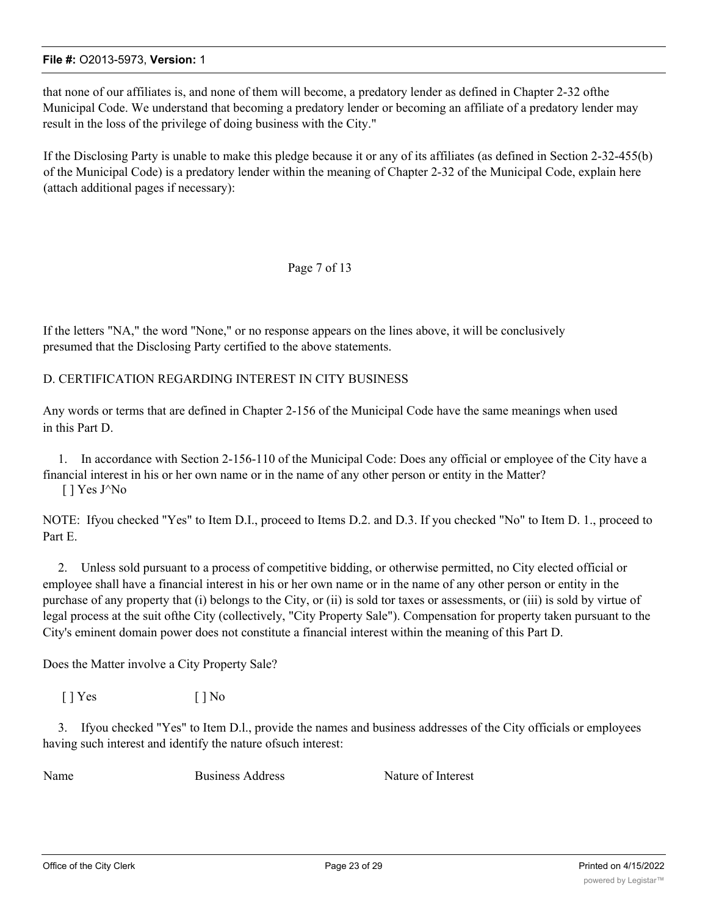that none of our affiliates is, and none of them will become, a predatory lender as defined in Chapter 2-32 ofthe Municipal Code. We understand that becoming a predatory lender or becoming an affiliate of a predatory lender may result in the loss of the privilege of doing business with the City."

If the Disclosing Party is unable to make this pledge because it or any of its affiliates (as defined in Section 2-32-455(b) of the Municipal Code) is a predatory lender within the meaning of Chapter 2-32 of the Municipal Code, explain here (attach additional pages if necessary):

# Page 7 of 13

If the letters "NA," the word "None," or no response appears on the lines above, it will be conclusively presumed that the Disclosing Party certified to the above statements.

D. CERTIFICATION REGARDING INTEREST IN CITY BUSINESS

Any words or terms that are defined in Chapter 2-156 of the Municipal Code have the same meanings when used in this Part D.

1. In accordance with Section 2-156-110 of the Municipal Code: Does any official or employee of the City have a financial interest in his or her own name or in the name of any other person or entity in the Matter? [ ] Yes J^No

NOTE: Ifyou checked "Yes" to Item D.I., proceed to Items D.2. and D.3. If you checked "No" to Item D. 1., proceed to Part E.

2. Unless sold pursuant to a process of competitive bidding, or otherwise permitted, no City elected official or employee shall have a financial interest in his or her own name or in the name of any other person or entity in the purchase of any property that (i) belongs to the City, or (ii) is sold tor taxes or assessments, or (iii) is sold by virtue of legal process at the suit ofthe City (collectively, "City Property Sale"). Compensation for property taken pursuant to the City's eminent domain power does not constitute a financial interest within the meaning of this Part D.

Does the Matter involve a City Property Sale?

 $[$  | Yes  $[$  | No

3. Ifyou checked "Yes" to Item D.l., provide the names and business addresses of the City officials or employees having such interest and identify the nature ofsuch interest:

Name Business Address Nature of Interest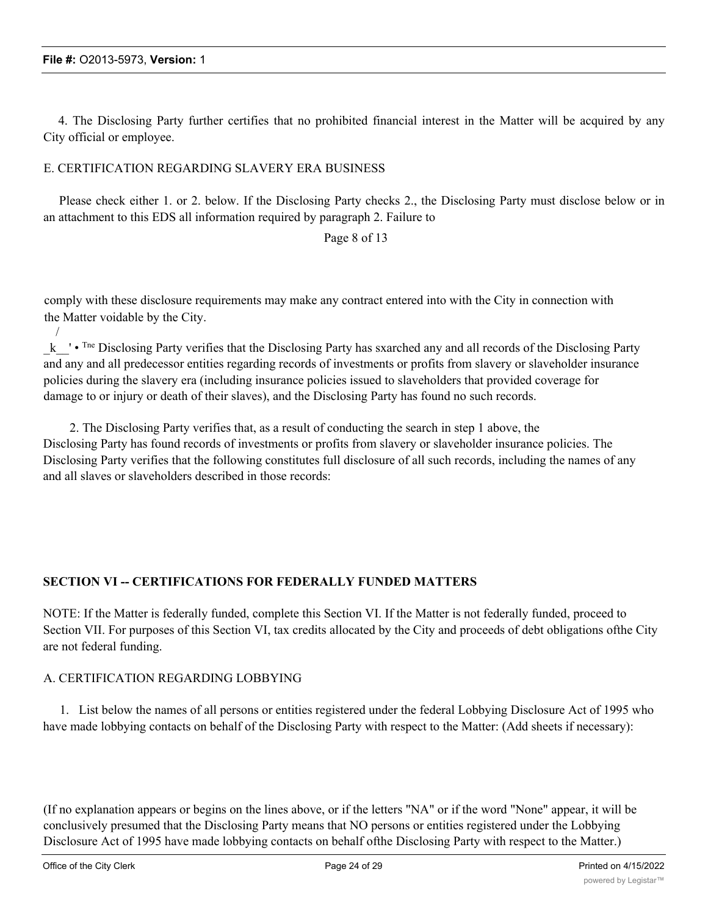/

4. The Disclosing Party further certifies that no prohibited financial interest in the Matter will be acquired by any City official or employee.

# E. CERTIFICATION REGARDING SLAVERY ERA BUSINESS

Please check either 1. or 2. below. If the Disclosing Party checks 2., the Disclosing Party must disclose below or in an attachment to this EDS all information required by paragraph 2. Failure to

# Page 8 of 13

comply with these disclosure requirements may make any contract entered into with the City in connection with the Matter voidable by the City.

k <sup>+</sup> • <sup>Tne</sup> Disclosing Party verifies that the Disclosing Party has sxarched any and all records of the Disclosing Party and any and all predecessor entities regarding records of investments or profits from slavery or slaveholder insurance policies during the slavery era (including insurance policies issued to slaveholders that provided coverage for damage to or injury or death of their slaves), and the Disclosing Party has found no such records.

2. The Disclosing Party verifies that, as a result of conducting the search in step 1 above, the Disclosing Party has found records of investments or profits from slavery or slaveholder insurance policies. The Disclosing Party verifies that the following constitutes full disclosure of all such records, including the names of any and all slaves or slaveholders described in those records:

# **SECTION VI -- CERTIFICATIONS FOR FEDERALLY FUNDED MATTERS**

NOTE: If the Matter is federally funded, complete this Section VI. If the Matter is not federally funded, proceed to Section VII. For purposes of this Section VI, tax credits allocated by the City and proceeds of debt obligations ofthe City are not federal funding.

# A. CERTIFICATION REGARDING LOBBYING

1. List below the names of all persons or entities registered under the federal Lobbying Disclosure Act of 1995 who have made lobbying contacts on behalf of the Disclosing Party with respect to the Matter: (Add sheets if necessary):

(If no explanation appears or begins on the lines above, or if the letters "NA" or if the word "None" appear, it will be conclusively presumed that the Disclosing Party means that NO persons or entities registered under the Lobbying Disclosure Act of 1995 have made lobbying contacts on behalf ofthe Disclosing Party with respect to the Matter.)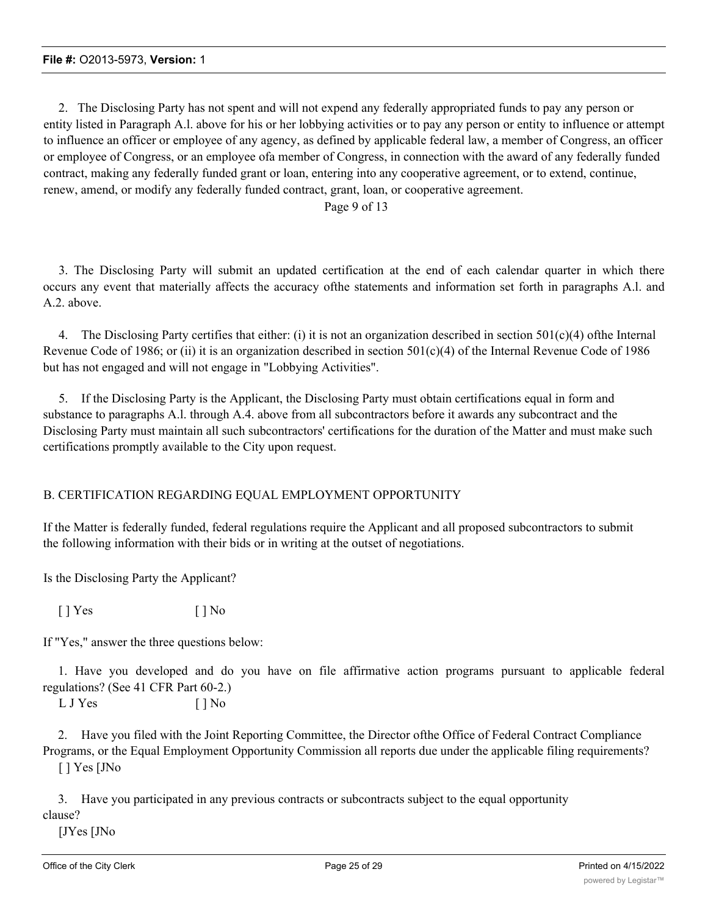2. The Disclosing Party has not spent and will not expend any federally appropriated funds to pay any person or entity listed in Paragraph A.l. above for his or her lobbying activities or to pay any person or entity to influence or attempt to influence an officer or employee of any agency, as defined by applicable federal law, a member of Congress, an officer or employee of Congress, or an employee ofa member of Congress, in connection with the award of any federally funded contract, making any federally funded grant or loan, entering into any cooperative agreement, or to extend, continue, renew, amend, or modify any federally funded contract, grant, loan, or cooperative agreement.

# Page 9 of 13

3. The Disclosing Party will submit an updated certification at the end of each calendar quarter in which there occurs any event that materially affects the accuracy ofthe statements and information set forth in paragraphs A.l. and A.2. above.

4. The Disclosing Party certifies that either: (i) it is not an organization described in section 501(c)(4) ofthe Internal Revenue Code of 1986; or (ii) it is an organization described in section  $501(c)(4)$  of the Internal Revenue Code of 1986 but has not engaged and will not engage in "Lobbying Activities".

5. If the Disclosing Party is the Applicant, the Disclosing Party must obtain certifications equal in form and substance to paragraphs A.l. through A.4. above from all subcontractors before it awards any subcontract and the Disclosing Party must maintain all such subcontractors' certifications for the duration of the Matter and must make such certifications promptly available to the City upon request.

# B. CERTIFICATION REGARDING EQUAL EMPLOYMENT OPPORTUNITY

If the Matter is federally funded, federal regulations require the Applicant and all proposed subcontractors to submit the following information with their bids or in writing at the outset of negotiations.

Is the Disclosing Party the Applicant?

 $[ ]$  Yes  $[ ]$  No

If "Yes," answer the three questions below:

1. Have you developed and do you have on file affirmative action programs pursuant to applicable federal regulations? (See 41 CFR Part 60-2.)

L J Yes [ ] No

2. Have you filed with the Joint Reporting Committee, the Director ofthe Office of Federal Contract Compliance Programs, or the Equal Employment Opportunity Commission all reports due under the applicable filing requirements? [ ] Yes [JNo

3. Have you participated in any previous contracts or subcontracts subject to the equal opportunity clause?

[JYes [JNo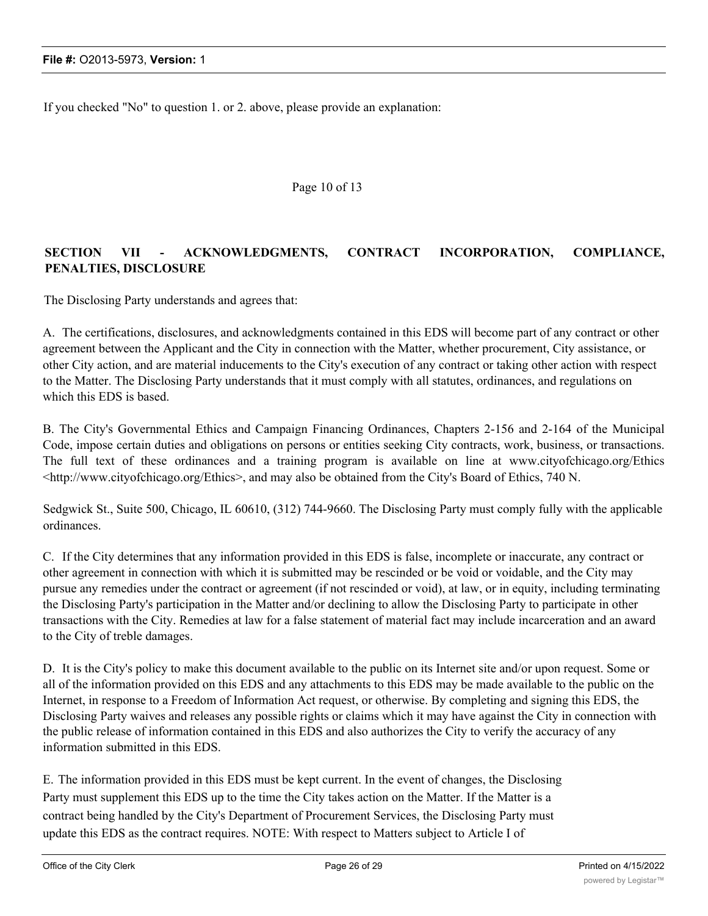If you checked "No" to question 1. or 2. above, please provide an explanation:

### Page 10 of 13

# **SECTION VII - ACKNOWLEDGMENTS, CONTRACT INCORPORATION, COMPLIANCE, PENALTIES, DISCLOSURE**

The Disclosing Party understands and agrees that:

A. The certifications, disclosures, and acknowledgments contained in this EDS will become part of any contract or other agreement between the Applicant and the City in connection with the Matter, whether procurement, City assistance, or other City action, and are material inducements to the City's execution of any contract or taking other action with respect to the Matter. The Disclosing Party understands that it must comply with all statutes, ordinances, and regulations on which this EDS is based.

B. The City's Governmental Ethics and Campaign Financing Ordinances, Chapters 2-156 and 2-164 of the Municipal Code, impose certain duties and obligations on persons or entities seeking City contracts, work, business, or transactions. The full text of these ordinances and a training program is available on line at www.cityofchicago.org/Ethics <http://www.cityofchicago.org/Ethics>, and may also be obtained from the City's Board of Ethics, 740 N.

Sedgwick St., Suite 500, Chicago, IL 60610, (312) 744-9660. The Disclosing Party must comply fully with the applicable ordinances.

C. If the City determines that any information provided in this EDS is false, incomplete or inaccurate, any contract or other agreement in connection with which it is submitted may be rescinded or be void or voidable, and the City may pursue any remedies under the contract or agreement (if not rescinded or void), at law, or in equity, including terminating the Disclosing Party's participation in the Matter and/or declining to allow the Disclosing Party to participate in other transactions with the City. Remedies at law for a false statement of material fact may include incarceration and an award to the City of treble damages.

D. It is the City's policy to make this document available to the public on its Internet site and/or upon request. Some or all of the information provided on this EDS and any attachments to this EDS may be made available to the public on the Internet, in response to a Freedom of Information Act request, or otherwise. By completing and signing this EDS, the Disclosing Party waives and releases any possible rights or claims which it may have against the City in connection with the public release of information contained in this EDS and also authorizes the City to verify the accuracy of any information submitted in this EDS.

E. The information provided in this EDS must be kept current. In the event of changes, the Disclosing Party must supplement this EDS up to the time the City takes action on the Matter. If the Matter is a contract being handled by the City's Department of Procurement Services, the Disclosing Party must update this EDS as the contract requires. NOTE: With respect to Matters subject to Article I of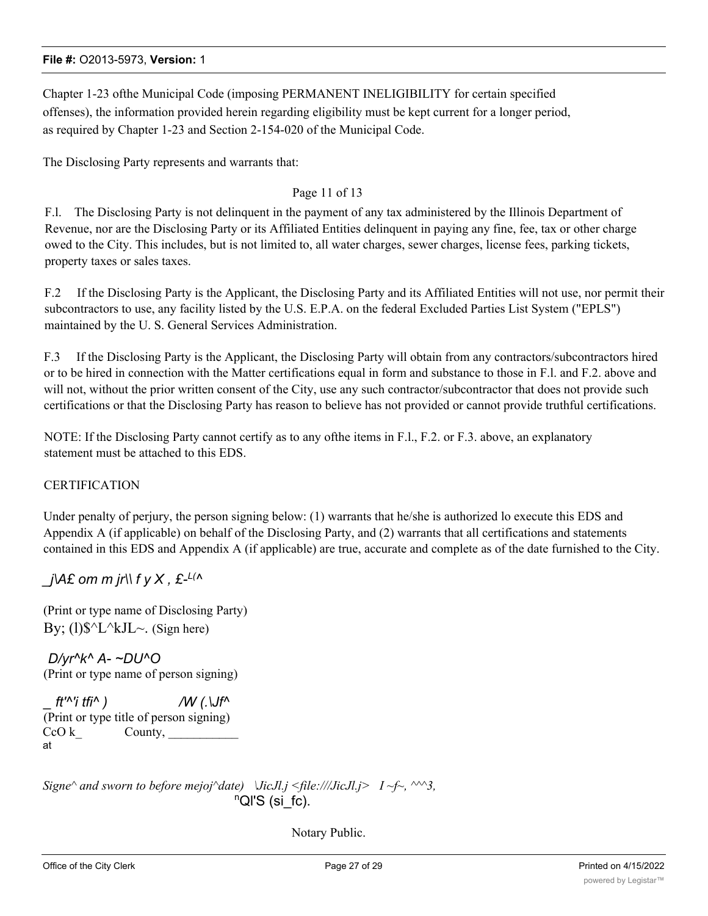Chapter 1-23 ofthe Municipal Code (imposing PERMANENT INELIGIBILITY for certain specified offenses), the information provided herein regarding eligibility must be kept current for a longer period, as required by Chapter 1-23 and Section 2-154-020 of the Municipal Code.

The Disclosing Party represents and warrants that:

# Page 11 of 13

F.l. The Disclosing Party is not delinquent in the payment of any tax administered by the Illinois Department of Revenue, nor are the Disclosing Party or its Affiliated Entities delinquent in paying any fine, fee, tax or other charge owed to the City. This includes, but is not limited to, all water charges, sewer charges, license fees, parking tickets, property taxes or sales taxes.

F.2 If the Disclosing Party is the Applicant, the Disclosing Party and its Affiliated Entities will not use, nor permit their subcontractors to use, any facility listed by the U.S. E.P.A. on the federal Excluded Parties List System ("EPLS") maintained by the U. S. General Services Administration.

F.3 If the Disclosing Party is the Applicant, the Disclosing Party will obtain from any contractors/subcontractors hired or to be hired in connection with the Matter certifications equal in form and substance to those in F.l. and F.2. above and will not, without the prior written consent of the City, use any such contractor/subcontractor that does not provide such certifications or that the Disclosing Party has reason to believe has not provided or cannot provide truthful certifications.

NOTE: If the Disclosing Party cannot certify as to any ofthe items in F.l., F.2. or F.3. above, an explanatory statement must be attached to this EDS.

# **CERTIFICATION**

Under penalty of perjury, the person signing below: (1) warrants that he/she is authorized lo execute this EDS and Appendix A (if applicable) on behalf of the Disclosing Party, and (2) warrants that all certifications and statements contained in this EDS and Appendix A (if applicable) are true, accurate and complete as of the date furnished to the City.

# *\_j\A£ om m jr\\ f y X , £-L(^*

(Print or type name of Disclosing Party) By; (1) $\sqrt{$^{\wedge}L^{\wedge}kJL^{\wedge}}$ . (Sign here)

*D/yr^k^ A- ~DU^O* (Print or type name of person signing)

| $It^{\prime\land\prime}$ i tfi^ ) | $\mathcal{W}$ (. \Jf^                   |
|-----------------------------------|-----------------------------------------|
|                                   | (Print or type title of person signing) |
| CcO k                             | County,                                 |
| at                                |                                         |

*Signe* $\land$  *and sworn to before mejoj* $\land$ *date*)  $\lor$ *JicJl.j <file:///JicJl.j > I ~f~,*  $\land \land \land$ 3, nQl'S (si\_fc).

Notary Public.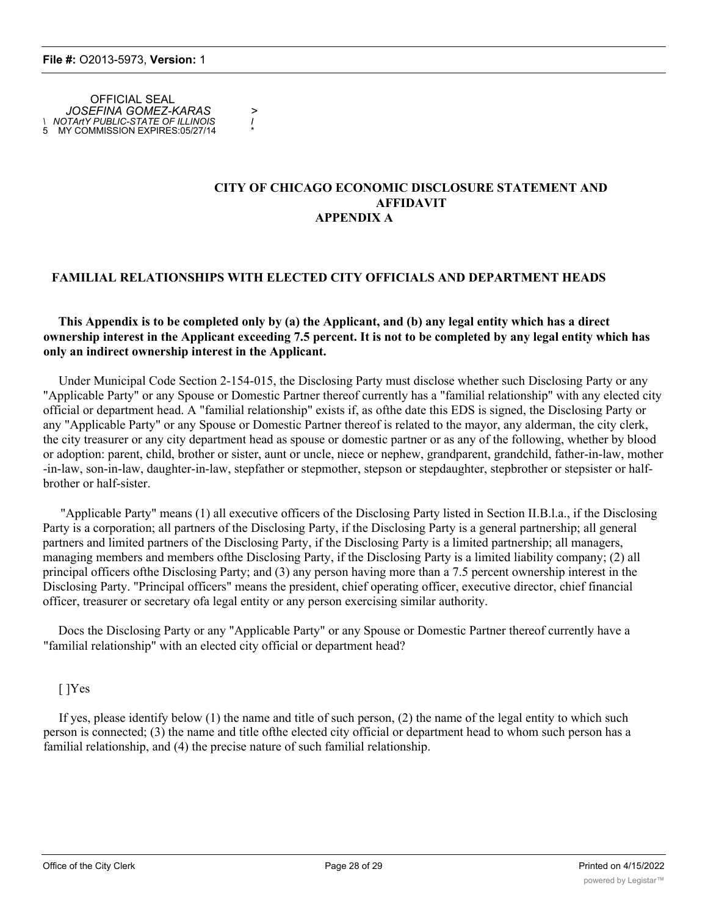OFFICIAL SEAL *JOSEFINA GOMEZ-KARAS > \ NOTArtY PUBLIC-STATE OF ILLINOIS I* 5 MY COMMISSION EXPIRES:05/27/14 \*

#### **CITY OF CHICAGO ECONOMIC DISCLOSURE STATEMENT AND AFFIDAVIT APPENDIX A**

# **FAMILIAL RELATIONSHIPS WITH ELECTED CITY OFFICIALS AND DEPARTMENT HEADS**

### **This Appendix is to be completed only by (a) the Applicant, and (b) any legal entity which has a direct ownership interest in the Applicant exceeding 7.5 percent. It is not to be completed by any legal entity which has only an indirect ownership interest in the Applicant.**

Under Municipal Code Section 2-154-015, the Disclosing Party must disclose whether such Disclosing Party or any "Applicable Party" or any Spouse or Domestic Partner thereof currently has a "familial relationship" with any elected city official or department head. A "familial relationship" exists if, as ofthe date this EDS is signed, the Disclosing Party or any "Applicable Party" or any Spouse or Domestic Partner thereof is related to the mayor, any alderman, the city clerk, the city treasurer or any city department head as spouse or domestic partner or as any of the following, whether by blood or adoption: parent, child, brother or sister, aunt or uncle, niece or nephew, grandparent, grandchild, father-in-law, mother -in-law, son-in-law, daughter-in-law, stepfather or stepmother, stepson or stepdaughter, stepbrother or stepsister or halfbrother or half-sister.

"Applicable Party" means (1) all executive officers of the Disclosing Party listed in Section II.B.l.a., if the Disclosing Party is a corporation; all partners of the Disclosing Party, if the Disclosing Party is a general partnership; all general partners and limited partners of the Disclosing Party, if the Disclosing Party is a limited partnership; all managers, managing members and members ofthe Disclosing Party, if the Disclosing Party is a limited liability company; (2) all principal officers ofthe Disclosing Party; and (3) any person having more than a 7.5 percent ownership interest in the Disclosing Party. "Principal officers" means the president, chief operating officer, executive director, chief financial officer, treasurer or secretary ofa legal entity or any person exercising similar authority.

Docs the Disclosing Party or any "Applicable Party" or any Spouse or Domestic Partner thereof currently have a "familial relationship" with an elected city official or department head?

# [ ]Yes

If yes, please identify below (1) the name and title of such person, (2) the name of the legal entity to which such person is connected; (3) the name and title ofthe elected city official or department head to whom such person has a familial relationship, and (4) the precise nature of such familial relationship.